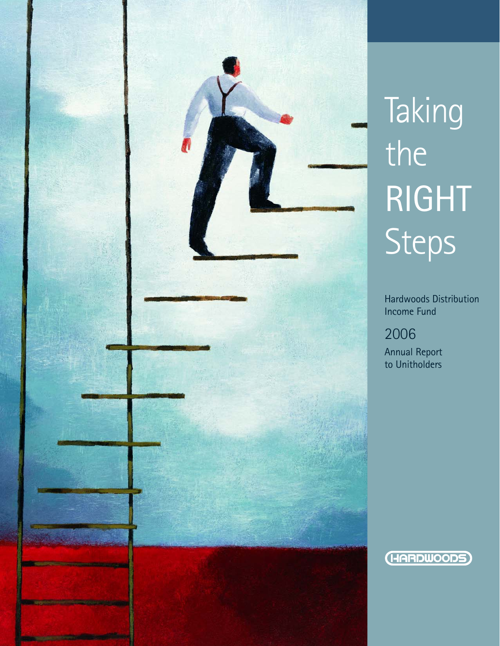

# Taking the RIGHT Steps

Hardwoods Distribution Income Fund

## 2006

Annual Report to Unitholders

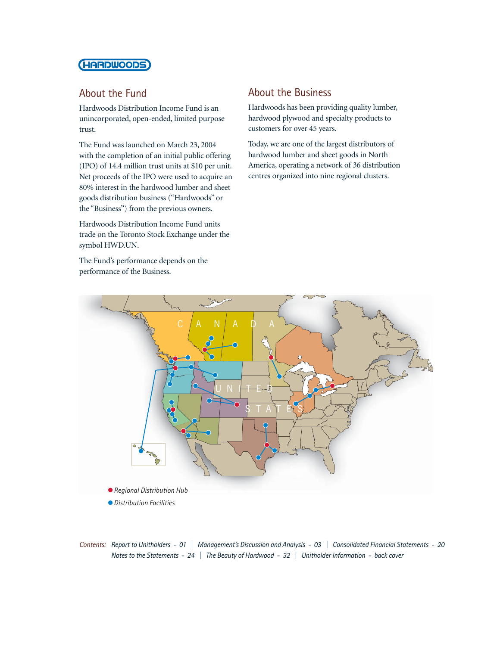## **(HARDWOODS)**

## About the Fund

Hardwoods Distribution Income Fund is an unincorporated, open-ended, limited purpose trust.

The Fund was launched on March 23, 2004 with the completion of an initial public offering (IPO) of 14.4 million trust units at \$10 per unit. Net proceeds of the IPO were used to acquire an 80% interest in the hardwood lumber and sheet goods distribution business ("Hardwoods" or the "Business") from the previous owners.

Hardwoods Distribution Income Fund units trade on the Toronto Stock Exchange under the symbol HWD.UN.

The Fund's performance depends on the performance of the Business.

## About the Business

Hardwoods has been providing quality lumber, hardwood plywood and specialty products to customers for over 45 years.

Today, we are one of the largest distributors of hardwood lumber and sheet goods in North America, operating a network of 36 distribution centres organized into nine regional clusters.



*Contents: Report to Unitholders - 01 | Management's Discussion and Analysis - 03 | Consolidated Financial Statements - 20 Notes to the Statements - 24 | The Beauty of Hardwood - 32 | Unitholder Information - back cover*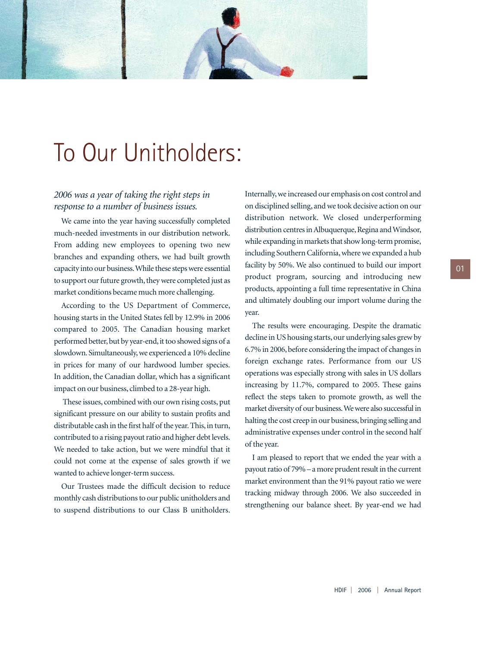

## To Our Unitholders:

## *2006 was a year of taking the right steps in response to a number of business issues.*

We came into the year having successfully completed much-needed investments in our distribution network. From adding new employees to opening two new branches and expanding others, we had built growth capacity into our business.While these steps were essential to support our future growth, they were completed just as market conditions became much more challenging.

According to the US Department of Commerce, housing starts in the United States fell by 12.9% in 2006 compared to 2005. The Canadian housing market performed better, but by year-end, it too showed signs of a slowdown. Simultaneously, we experienced a 10% decline in prices for many of our hardwood lumber species. In addition, the Canadian dollar, which has a significant impact on our business, climbed to a 28-year high.

These issues, combined with our own rising costs, put significant pressure on our ability to sustain profits and distributable cash in the first half of the year. This, in turn, contributed to a rising payout ratio and higher debt levels. We needed to take action, but we were mindful that it could not come at the expense of sales growth if we wanted to achieve longer-term success.

Our Trustees made the difficult decision to reduce monthly cash distributions to our public unitholders and to suspend distributions to our Class B unitholders.

Internally, we increased our emphasis on cost control and on disciplined selling, and we took decisive action on our distribution network. We closed underperforming distribution centres in Albuquerque, Regina and Windsor, while expanding in markets that show long-term promise, including Southern California, where we expanded a hub facility by 50%. We also continued to build our import product program, sourcing and introducing new products, appointing a full time representative in China and ultimately doubling our import volume during the year.

The results were encouraging. Despite the dramatic decline in US housing starts, our underlying sales grew by 6.7% in 2006, before considering the impact of changes in foreign exchange rates. Performance from our US operations was especially strong with sales in US dollars increasing by 11.7%, compared to 2005. These gains reflect the steps taken to promote growth, as well the market diversity of our business.We were also successful in halting the cost creep in our business, bringing selling and administrative expenses under control in the second half of the year.

I am pleased to report that we ended the year with a payout ratio of 79% – a more prudent result in the current market environment than the 91% payout ratio we were tracking midway through 2006. We also succeeded in strengthening our balance sheet. By year-end we had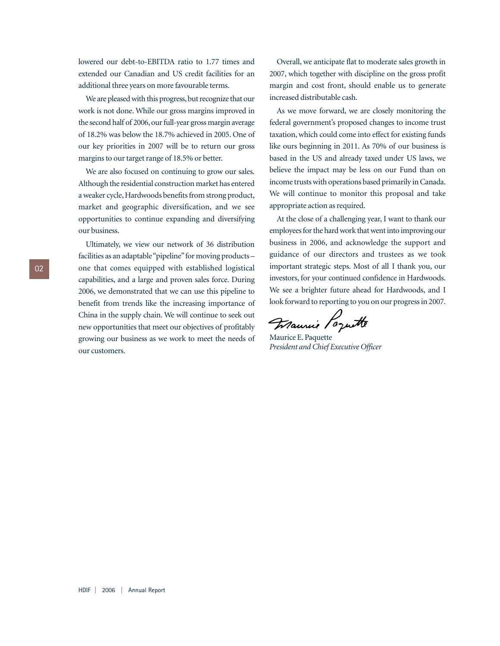lowered our debt-to-EBITDA ratio to 1.77 times and extended our Canadian and US credit facilities for an additional three years on more favourable terms.

We are pleased with this progress, but recognize that our work is not done. While our gross margins improved in the second half of 2006, our full-year gross margin average of 18.2% was below the 18.7% achieved in 2005. One of our key priorities in 2007 will be to return our gross margins to our target range of 18.5% or better.

We are also focused on continuing to grow our sales. Although the residential construction market has entered a weaker cycle, Hardwoods benefits from strong product, market and geographic diversification, and we see opportunities to continue expanding and diversifying our business.

Ultimately, we view our network of 36 distribution facilities as an adaptable "pipeline" for moving products one that comes equipped with established logistical capabilities, and a large and proven sales force. During 2006, we demonstrated that we can use this pipeline to benefit from trends like the increasing importance of China in the supply chain. We will continue to seek out new opportunities that meet our objectives of profitably growing our business as we work to meet the needs of our customers.

Overall, we anticipate flat to moderate sales growth in 2007, which together with discipline on the gross profit margin and cost front, should enable us to generate increased distributable cash.

As we move forward, we are closely monitoring the federal government's proposed changes to income trust taxation, which could come into effect for existing funds like ours beginning in 2011. As 70% of our business is based in the US and already taxed under US laws, we believe the impact may be less on our Fund than on income trusts with operations based primarily in Canada. We will continue to monitor this proposal and take appropriate action as required.

At the close of a challenging year, I want to thank our employees for the hard work that went into improving our business in 2006, and acknowledge the support and guidance of our directors and trustees as we took important strategic steps. Most of all I thank you, our investors, for your continued confidence in Hardwoods. We see a brighter future ahead for Hardwoods, and I look forward to reporting to you on our progress in 2007.

Francie Porutte

Maurice E. Paquette *President and Chief Executive Officer*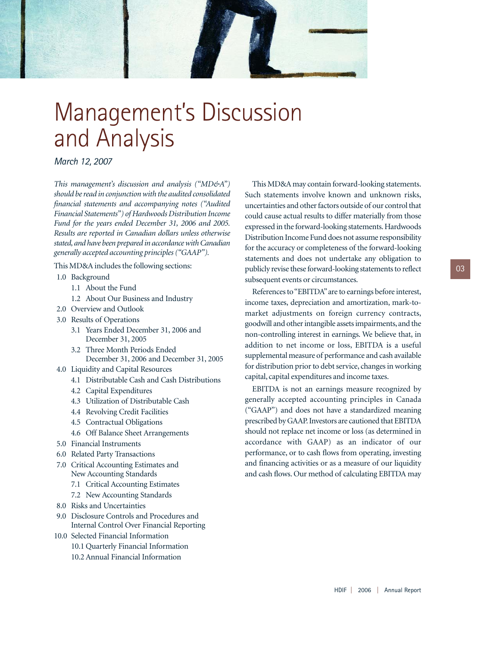

## Management's Discussion and Analysis

*March 12, 2007*

*This management's discussion and analysis ("MD&A") should be read in conjunction with the audited consolidated financial statements and accompanying notes ("Audited Financial Statements") of Hardwoods Distribution Income Fund for the years ended December 31, 2006 and 2005. Results are reported in Canadian dollars unless otherwise stated, and have been prepared in accordance with Canadian generally accepted accounting principles ("GAAP").*

This MD&A includes the following sections:

- 1.0 Background
	- 1.1 About the Fund
	- 1.2 About Our Business and Industry
- 2.0 Overview and Outlook
- 3.0 Results of Operations
	- 3.1 Years Ended December 31, 2006 and December 31, 2005
	- 3.2 Three Month Periods Ended December 31, 2006 and December 31, 2005
- 4.0 Liquidity and Capital Resources
	- 4.1 Distributable Cash and Cash Distributions
	- 4.2 Capital Expenditures
	- 4.3 Utilization of Distributable Cash
	- 4.4 Revolving Credit Facilities
	- 4.5 Contractual Obligations
	- 4.6 Off Balance Sheet Arrangements
- 5.0 Financial Instruments
- 6.0 Related Party Transactions
- 7.0 Critical Accounting Estimates and New Accounting Standards
	- 7.1 Critical Accounting Estimates
	- 7.2 New Accounting Standards
- 8.0 Risks and Uncertainties
- 9.0 Disclosure Controls and Procedures and Internal Control Over Financial Reporting
- 10.0 Selected Financial Information 10.1 Quarterly Financial Information 10.2 Annual Financial Information

This MD&A may contain forward-looking statements. Such statements involve known and unknown risks, uncertainties and other factors outside of our control that could cause actual results to differ materially from those expressed in the forward-looking statements. Hardwoods Distribution Income Fund does not assume responsibility for the accuracy or completeness of the forward-looking statements and does not undertake any obligation to publicly revise these forward-looking statements to reflect subsequent events or circumstances.

References to "EBITDA"are to earnings before interest, income taxes, depreciation and amortization, mark-tomarket adjustments on foreign currency contracts, goodwill and other intangible assets impairments, and the non-controlling interest in earnings. We believe that, in addition to net income or loss, EBITDA is a useful supplemental measure of performance and cash available for distribution prior to debt service, changes in working capital, capital expenditures and income taxes.

EBITDA is not an earnings measure recognized by generally accepted accounting principles in Canada ("GAAP") and does not have a standardized meaning prescribed by GAAP. Investors are cautioned that EBITDA should not replace net income or loss (as determined in accordance with GAAP) as an indicator of our performance, or to cash flows from operating, investing and financing activities or as a measure of our liquidity and cash flows. Our method of calculating EBITDA may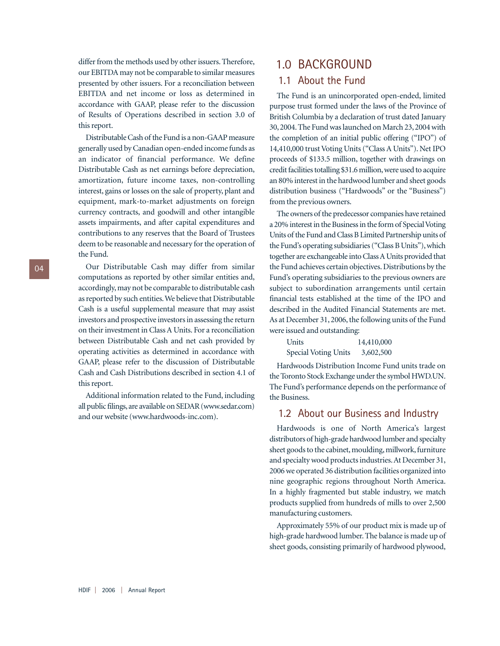differ from the methods used by other issuers. Therefore, our EBITDA may not be comparable to similar measures presented by other issuers. For a reconciliation between EBITDA and net income or loss as determined in accordance with GAAP, please refer to the discussion of Results of Operations described in section 3.0 of this report.

Distributable Cash of the Fund is a non-GAAP measure generally used by Canadian open-ended income funds as an indicator of financial performance. We define Distributable Cash as net earnings before depreciation, amortization, future income taxes, non-controlling interest, gains or losses on the sale of property, plant and equipment, mark-to-market adjustments on foreign currency contracts, and goodwill and other intangible assets impairments, and after capital expenditures and contributions to any reserves that the Board of Trustees deem to be reasonable and necessary for the operation of the Fund.

Our Distributable Cash may differ from similar computations as reported by other similar entities and, accordingly, may not be comparable to distributable cash as reported by such entities.We believe that Distributable Cash is a useful supplemental measure that may assist investors and prospective investors in assessing the return on their investment in Class A Units. For a reconciliation between Distributable Cash and net cash provided by operating activities as determined in accordance with GAAP, please refer to the discussion of Distributable Cash and Cash Distributions described in section 4.1 of this report.

Additional information related to the Fund, including all public filings,are available on SEDAR (www.sedar.com) and our website (www.hardwoods-inc.com).

## 1.0 BACKGROUND 1.1 About the Fund

The Fund is an unincorporated open-ended, limited purpose trust formed under the laws of the Province of British Columbia by a declaration of trust dated January 30, 2004. The Fund was launched on March 23, 2004 with the completion of an initial public offering ("IPO") of 14,410,000 trust Voting Units ("Class A Units"). Net IPO proceeds of \$133.5 million, together with drawings on credit facilities totalling \$31.6 million,were used to acquire an 80% interest in the hardwood lumber and sheet goods distribution business ("Hardwoods" or the "Business") from the previous owners.

The owners of the predecessor companies have retained a 20% interest in the Business in the form of Special Voting Units of the Fund and Class B Limited Partnership units of the Fund's operating subsidiaries ("Class B Units"), which together are exchangeable into Class A Units provided that the Fund achieves certain objectives. Distributions by the Fund's operating subsidiaries to the previous owners are subject to subordination arrangements until certain financial tests established at the time of the IPO and described in the Audited Financial Statements are met. As at December 31, 2006, the following units of the Fund were issued and outstanding:

| Units                | 14,410,000 |
|----------------------|------------|
| Special Voting Units | 3,602,500  |

Hardwoods Distribution Income Fund units trade on the Toronto Stock Exchange under the symbol HWD.UN. The Fund's performance depends on the performance of the Business.

## 1.2 About our Business and Industry

Hardwoods is one of North America's largest distributors of high-grade hardwood lumber and specialty sheet goods to the cabinet, moulding, millwork, furniture and specialty wood products industries.At December 31, 2006 we operated 36 distribution facilities organized into nine geographic regions throughout North America. In a highly fragmented but stable industry, we match products supplied from hundreds of mills to over 2,500 manufacturing customers.

Approximately 55% of our product mix is made up of high-grade hardwood lumber. The balance is made up of sheet goods, consisting primarily of hardwood plywood,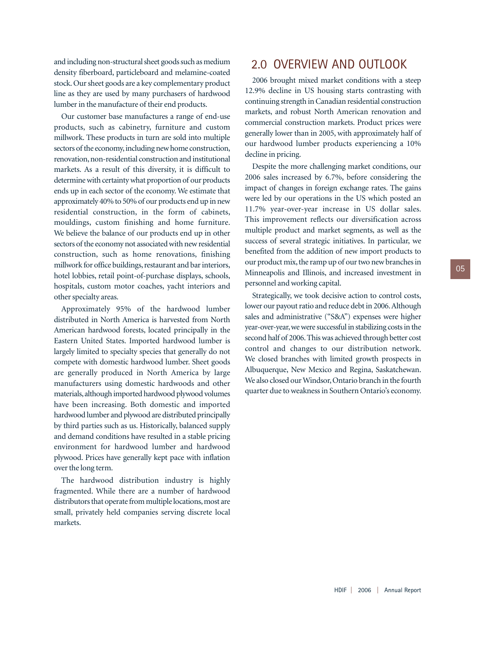and including non-structural sheet goods such as medium density fiberboard, particleboard and melamine-coated stock. Our sheet goods are a key complementary product line as they are used by many purchasers of hardwood lumber in the manufacture of their end products.

Our customer base manufactures a range of end-use products, such as cabinetry, furniture and custom millwork. These products in turn are sold into multiple sectors of the economy, including new home construction, renovation, non-residential construction and institutional markets. As a result of this diversity, it is difficult to determine with certainty what proportion of our products ends up in each sector of the economy. We estimate that approximately 40% to 50% of our products end up in new residential construction, in the form of cabinets, mouldings, custom finishing and home furniture. We believe the balance of our products end up in other sectors of the economy not associated with new residential construction, such as home renovations, finishing millwork for office buildings, restaurant and bar interiors, hotel lobbies, retail point-of-purchase displays, schools, hospitals, custom motor coaches, yacht interiors and other specialty areas.

Approximately 95% of the hardwood lumber distributed in North America is harvested from North American hardwood forests, located principally in the Eastern United States. Imported hardwood lumber is largely limited to specialty species that generally do not compete with domestic hardwood lumber. Sheet goods are generally produced in North America by large manufacturers using domestic hardwoods and other materials,although imported hardwood plywood volumes have been increasing. Both domestic and imported hardwood lumber and plywood are distributed principally by third parties such as us. Historically, balanced supply and demand conditions have resulted in a stable pricing environment for hardwood lumber and hardwood plywood. Prices have generally kept pace with inflation over the long term.

The hardwood distribution industry is highly fragmented. While there are a number of hardwood distributors that operate from multiple locations, most are small, privately held companies serving discrete local markets.

## 2.0 OVERVIEW AND OUTLOOK

2006 brought mixed market conditions with a steep 12.9% decline in US housing starts contrasting with continuing strength in Canadian residential construction markets, and robust North American renovation and commercial construction markets. Product prices were generally lower than in 2005, with approximately half of our hardwood lumber products experiencing a 10% decline in pricing.

Despite the more challenging market conditions, our 2006 sales increased by 6.7%, before considering the impact of changes in foreign exchange rates. The gains were led by our operations in the US which posted an 11.7% year-over-year increase in US dollar sales. This improvement reflects our diversification across multiple product and market segments, as well as the success of several strategic initiatives. In particular, we benefited from the addition of new import products to our product mix, the ramp up of our two new branches in Minneapolis and Illinois, and increased investment in personnel and working capital.

Strategically, we took decisive action to control costs, lower our payout ratio and reduce debt in 2006.Although sales and administrative ("S&A") expenses were higher year-over-year,we were successful in stabilizing costs in the second half of 2006. This was achieved through better cost control and changes to our distribution network. We closed branches with limited growth prospects in Albuquerque, New Mexico and Regina, Saskatchewan. We also closed our Windsor, Ontario branch in the fourth quarter due to weakness in Southern Ontario's economy.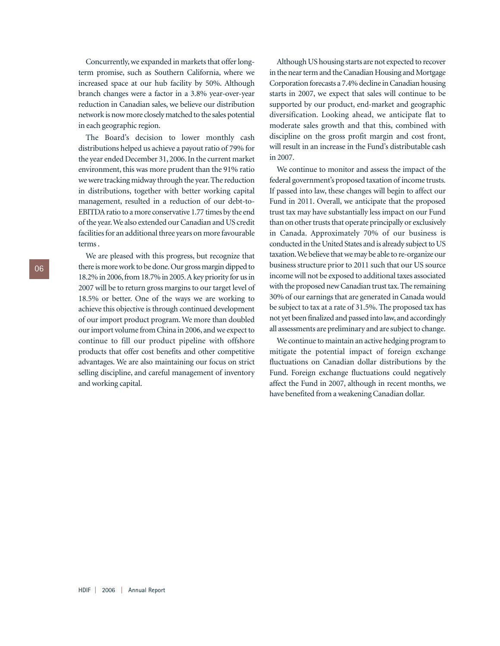Concurrently, we expanded in markets that offer longterm promise, such as Southern California, where we increased space at our hub facility by 50%. Although branch changes were a factor in a 3.8% year-over-year reduction in Canadian sales, we believe our distribution network is now more closely matched to the sales potential in each geographic region.

The Board's decision to lower monthly cash distributions helped us achieve a payout ratio of 79% for the year ended December 31, 2006. In the current market environment, this was more prudent than the 91% ratio we were tracking midway through the year. The reduction in distributions, together with better working capital management, resulted in a reduction of our debt-to-EBITDA ratio to a more conservative 1.77 times by the end of the year.We also extended our Canadian and US credit facilities for an additional three years on more favourable terms .

We are pleased with this progress, but recognize that there is more work to be done.Our gross margin dipped to 18.2% in 2006,from 18.7% in 2005.A key priority for us in 2007 will be to return gross margins to our target level of 18.5% or better. One of the ways we are working to achieve this objective is through continued development of our import product program. We more than doubled our import volume from China in 2006, and we expect to continue to fill our product pipeline with offshore products that offer cost benefits and other competitive advantages. We are also maintaining our focus on strict selling discipline, and careful management of inventory and working capital.

Although US housing starts are not expected to recover in the near term and the Canadian Housing and Mortgage Corporation forecasts a 7.4% decline in Canadian housing starts in 2007, we expect that sales will continue to be supported by our product, end-market and geographic diversification. Looking ahead, we anticipate flat to moderate sales growth and that this, combined with discipline on the gross profit margin and cost front, will result in an increase in the Fund's distributable cash in 2007.

We continue to monitor and assess the impact of the federal government's proposed taxation of income trusts. If passed into law, these changes will begin to affect our Fund in 2011. Overall, we anticipate that the proposed trust tax may have substantially less impact on our Fund than on other trusts that operate principally or exclusively in Canada. Approximately 70% of our business is conducted in the United States and is already subject to US taxation.We believe that we may be able to re-organize our business structure prior to 2011 such that our US source income will not be exposed to additional taxes associated with the proposed new Canadian trust tax. The remaining 30% of our earnings that are generated in Canada would be subject to tax at a rate of 31.5%. The proposed tax has not yet been finalized and passed into law, and accordingly all assessments are preliminary and are subject to change.

We continue to maintain an active hedging program to mitigate the potential impact of foreign exchange fluctuations on Canadian dollar distributions by the Fund. Foreign exchange fluctuations could negatively affect the Fund in 2007, although in recent months, we have benefited from a weakening Canadian dollar.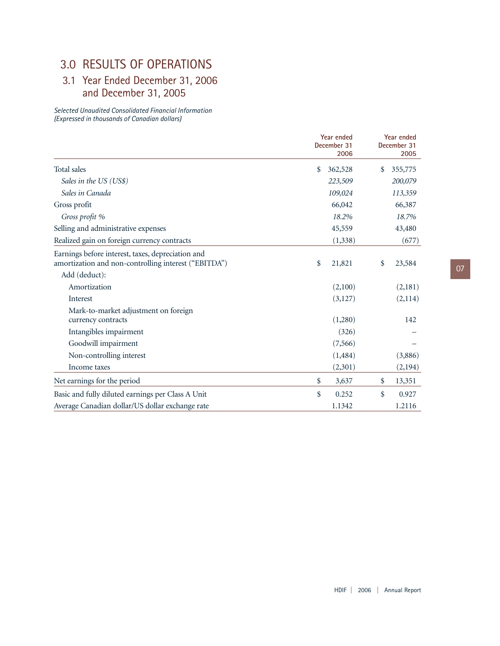## 3.0 RESULTS OF OPERATIONS

## 3.1 Year Ended December 31, 2006 and December 31, 2005

*Selected Unaudited Consolidated Financial Information (Expressed in thousands of Canadian dollars)*

|                                                                                                           | Year ended<br>December 31<br>2006 | Year ended<br>December 31<br>2005 |         |  |
|-----------------------------------------------------------------------------------------------------------|-----------------------------------|-----------------------------------|---------|--|
| Total sales                                                                                               | \$<br>362,528                     | \$<br>355,775                     |         |  |
| Sales in the US (US\$)                                                                                    | 223,509                           | 200,079                           |         |  |
| Sales in Canada                                                                                           | 109,024                           | 113,359                           |         |  |
| Gross profit                                                                                              | 66,042                            | 66,387                            |         |  |
| Gross profit %                                                                                            | 18.2%                             | 18.7%                             |         |  |
| Selling and administrative expenses                                                                       | 45,559                            | 43,480                            |         |  |
| Realized gain on foreign currency contracts                                                               | (1, 338)                          |                                   | (677)   |  |
| Earnings before interest, taxes, depreciation and<br>amortization and non-controlling interest ("EBITDA") | \$<br>21,821                      | \$<br>23,584                      |         |  |
| Add (deduct):                                                                                             |                                   |                                   |         |  |
| Amortization                                                                                              | (2,100)                           |                                   | (2,181) |  |
| Interest                                                                                                  | (3,127)                           |                                   | (2,114) |  |
| Mark-to-market adjustment on foreign                                                                      | (1,280)                           |                                   | 142     |  |
| currency contracts<br>Intangibles impairment                                                              | (326)                             |                                   |         |  |
| Goodwill impairment                                                                                       | (7,566)                           |                                   |         |  |
| Non-controlling interest                                                                                  | (1, 484)                          |                                   | (3,886) |  |
| Income taxes                                                                                              | (2,301)                           |                                   | (2,194) |  |
| Net earnings for the period                                                                               | \$<br>3,637                       | \$<br>13,351                      |         |  |
| Basic and fully diluted earnings per Class A Unit                                                         | \$<br>0.252                       | \$                                | 0.927   |  |
| Average Canadian dollar/US dollar exchange rate                                                           | 1.1342                            | 1.2116                            |         |  |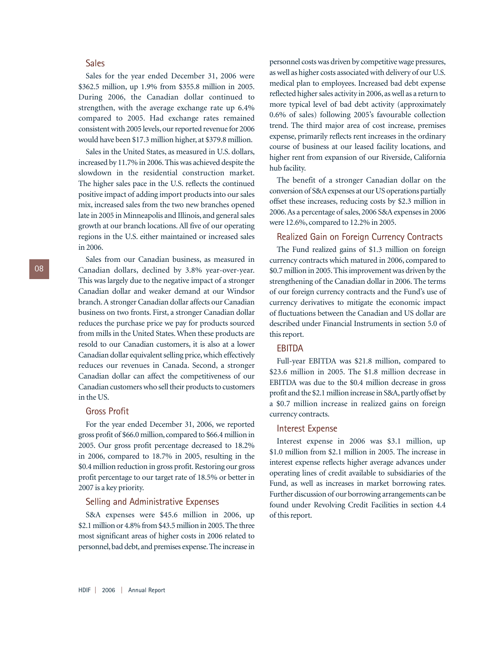## Sales

Sales for the year ended December 31, 2006 were \$362.5 million, up 1.9% from \$355.8 million in 2005. During 2006, the Canadian dollar continued to strengthen, with the average exchange rate up 6.4% compared to 2005. Had exchange rates remained consistent with 2005 levels, our reported revenue for 2006 would have been \$17.3 million higher, at \$379.8 million.

Sales in the United States, as measured in U.S. dollars, increased by 11.7% in 2006. This was achieved despite the slowdown in the residential construction market. The higher sales pace in the U.S. reflects the continued positive impact of adding import products into our sales mix, increased sales from the two new branches opened late in 2005 in Minneapolis and Illinois, and general sales growth at our branch locations. All five of our operating regions in the U.S. either maintained or increased sales in 2006.

## Sales from our Canadian business, as measured in Canadian dollars, declined by 3.8% year-over-year. This was largely due to the negative impact of a stronger Canadian dollar and weaker demand at our Windsor branch. A stronger Canadian dollar affects our Canadian business on two fronts. First, a stronger Canadian dollar reduces the purchase price we pay for products sourced from mills in the United States. When these products are resold to our Canadian customers, it is also at a lower Canadian dollar equivalent selling price, which effectively reduces our revenues in Canada. Second, a stronger Canadian dollar can affect the competitiveness of our Canadian customers who sell their products to customers in the US.

#### Gross Profit

For the year ended December 31, 2006, we reported gross profit of \$66.0 million, compared to \$66.4 million in 2005. Our gross profit percentage decreased to 18.2% in 2006, compared to 18.7% in 2005, resulting in the \$0.4 million reduction in gross profit. Restoring our gross profit percentage to our target rate of 18.5% or better in 2007 is a key priority.

#### Selling and Administrative Expenses

S&A expenses were \$45.6 million in 2006, up \$2.1 million or 4.8% from \$43.5 million in 2005.The three most significant areas of higher costs in 2006 related to personnel, bad debt, and premises expense. The increase in

personnel costs was driven by competitive wage pressures, as well as higher costs associated with delivery of our U.S. medical plan to employees. Increased bad debt expense reflected higher sales activity in 2006, as well as a return to more typical level of bad debt activity (approximately 0.6% of sales) following 2005's favourable collection trend. The third major area of cost increase, premises expense, primarily reflects rent increases in the ordinary course of business at our leased facility locations, and higher rent from expansion of our Riverside, California hub facility.

The benefit of a stronger Canadian dollar on the conversion of S&A expenses at our US operations partially offset these increases, reducing costs by \$2.3 million in 2006.As a percentage of sales, 2006 S&A expenses in 2006 were 12.6%, compared to 12.2% in 2005.

#### Realized Gain on Foreign Currency Contracts

The Fund realized gains of \$1.3 million on foreign currency contracts which matured in 2006, compared to \$0.7 million in 2005. This improvement was driven by the strengthening of the Canadian dollar in 2006. The terms of our foreign currency contracts and the Fund's use of currency derivatives to mitigate the economic impact of fluctuations between the Canadian and US dollar are described under Financial Instruments in section 5.0 of this report.

## EBITDA

Full-year EBITDA was \$21.8 million, compared to \$23.6 million in 2005. The \$1.8 million decrease in EBITDA was due to the \$0.4 million decrease in gross profit and the \$2.1 million increase in S&A, partly offset by a \$0.7 million increase in realized gains on foreign currency contracts.

#### Interest Expense

Interest expense in 2006 was \$3.1 million, up \$1.0 million from \$2.1 million in 2005. The increase in interest expense reflects higher average advances under operating lines of credit available to subsidiaries of the Fund, as well as increases in market borrowing rates. Further discussion of our borrowing arrangements can be found under Revolving Credit Facilities in section 4.4 of this report.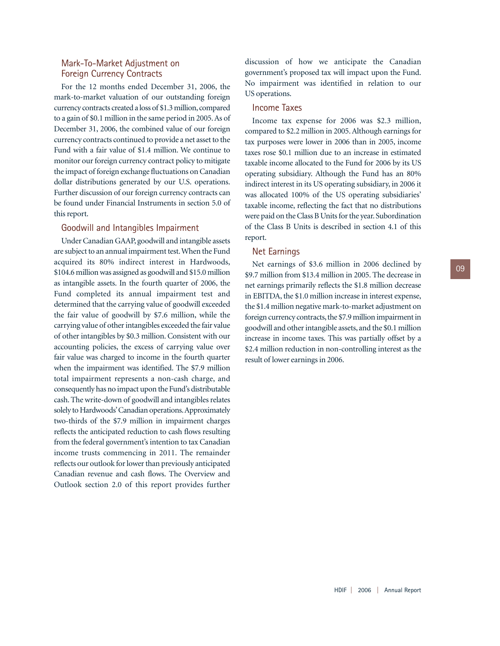## Mark-To-Market Adjustment on Foreign Currency Contracts

For the 12 months ended December 31, 2006, the mark-to-market valuation of our outstanding foreign currency contracts created a loss of \$1.3 million, compared to a gain of \$0.1 million in the same period in 2005. As of December 31, 2006, the combined value of our foreign currency contracts continued to provide a net asset to the Fund with a fair value of \$1.4 million. We continue to monitor our foreign currency contract policy to mitigate the impact of foreign exchange fluctuations on Canadian dollar distributions generated by our U.S. operations. Further discussion of our foreign currency contracts can be found under Financial Instruments in section 5.0 of this report.

#### Goodwill and Intangibles Impairment

Under Canadian GAAP, goodwill and intangible assets are subject to an annual impairment test.When the Fund acquired its 80% indirect interest in Hardwoods, \$104.6 million was assigned as goodwill and \$15.0 million as intangible assets. In the fourth quarter of 2006, the Fund completed its annual impairment test and determined that the carrying value of goodwill exceeded the fair value of goodwill by \$7.6 million, while the carrying value of other intangibles exceeded the fair value of other intangibles by \$0.3 million. Consistent with our accounting policies, the excess of carrying value over fair value was charged to income in the fourth quarter when the impairment was identified. The \$7.9 million total impairment represents a non-cash charge, and consequently has no impact upon the Fund's distributable cash. The write-down of goodwill and intangibles relates solely to Hardwoods'Canadian operations.Approximately two-thirds of the \$7.9 million in impairment charges reflects the anticipated reduction to cash flows resulting from the federal government's intention to tax Canadian income trusts commencing in 2011. The remainder reflects our outlook for lower than previously anticipated Canadian revenue and cash flows. The Overview and Outlook section 2.0 of this report provides further

discussion of how we anticipate the Canadian government's proposed tax will impact upon the Fund. No impairment was identified in relation to our US operations.

## Income Taxes

Income tax expense for 2006 was \$2.3 million, compared to \$2.2 million in 2005. Although earnings for tax purposes were lower in 2006 than in 2005, income taxes rose \$0.1 million due to an increase in estimated taxable income allocated to the Fund for 2006 by its US operating subsidiary. Although the Fund has an 80% indirect interest in its US operating subsidiary, in 2006 it was allocated 100% of the US operating subsidiaries' taxable income, reflecting the fact that no distributions were paid on the Class B Units for the year. Subordination of the Class B Units is described in section 4.1 of this report.

## Net Earnings

Net earnings of \$3.6 million in 2006 declined by \$9.7 million from \$13.4 million in 2005. The decrease in net earnings primarily reflects the \$1.8 million decrease in EBITDA, the \$1.0 million increase in interest expense, the \$1.4 million negative mark-to-market adjustment on foreign currency contracts, the \$7.9 million impairment in goodwill and other intangible assets, and the \$0.1 million increase in income taxes. This was partially offset by a \$2.4 million reduction in non-controlling interest as the result of lower earnings in 2006.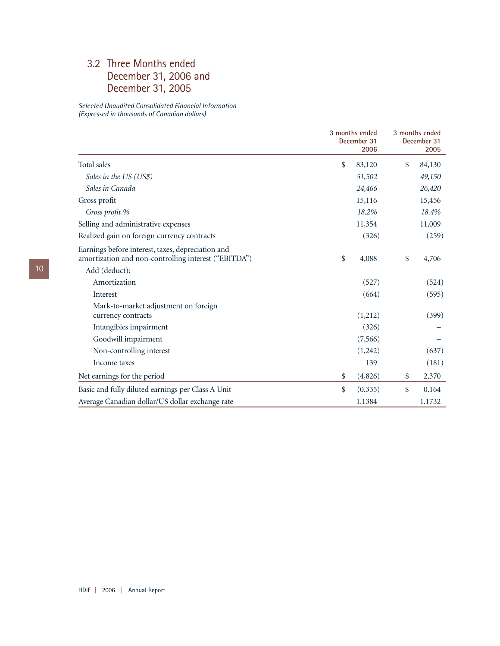## 3.2 Three Months ended December 31, 2006 and December 31, 2005

*Selected Unaudited Consolidated Financial Information (Expressed in thousands of Canadian dollars)*

|                                                                                                           |    | 3 months ended<br>December 31<br>2006 | 3 months ended<br>December 31<br>2005 |
|-----------------------------------------------------------------------------------------------------------|----|---------------------------------------|---------------------------------------|
| Total sales                                                                                               | \$ | 83,120                                | \$<br>84,130                          |
| Sales in the US (US\$)                                                                                    |    | 51,502                                | 49,150                                |
| Sales in Canada                                                                                           |    | 24,466                                | 26,420                                |
| Gross profit                                                                                              |    | 15,116                                | 15,456                                |
| Gross profit %                                                                                            |    | 18.2%                                 | 18.4%                                 |
| Selling and administrative expenses                                                                       |    | 11,354                                | 11,009                                |
| Realized gain on foreign currency contracts                                                               |    | (326)                                 | (259)                                 |
| Earnings before interest, taxes, depreciation and<br>amortization and non-controlling interest ("EBITDA") | \$ | 4,088                                 | \$<br>4,706                           |
| Add (deduct):                                                                                             |    |                                       |                                       |
| Amortization                                                                                              |    | (527)                                 | (524)                                 |
| Interest                                                                                                  |    | (664)                                 | (595)                                 |
| Mark-to-market adjustment on foreign                                                                      |    |                                       |                                       |
| currency contracts                                                                                        |    | (1,212)                               | (399)                                 |
| Intangibles impairment                                                                                    |    | (326)                                 |                                       |
| Goodwill impairment                                                                                       |    | (7,566)                               |                                       |
| Non-controlling interest                                                                                  |    | (1,242)                               | (637)                                 |
| Income taxes                                                                                              |    | 139                                   | (181)                                 |
| Net earnings for the period                                                                               | \$ | (4,826)                               | \$<br>2,370                           |
| Basic and fully diluted earnings per Class A Unit                                                         | \$ | (0.335)                               | \$<br>0.164                           |
| Average Canadian dollar/US dollar exchange rate                                                           |    | 1.1384                                | 1.1732                                |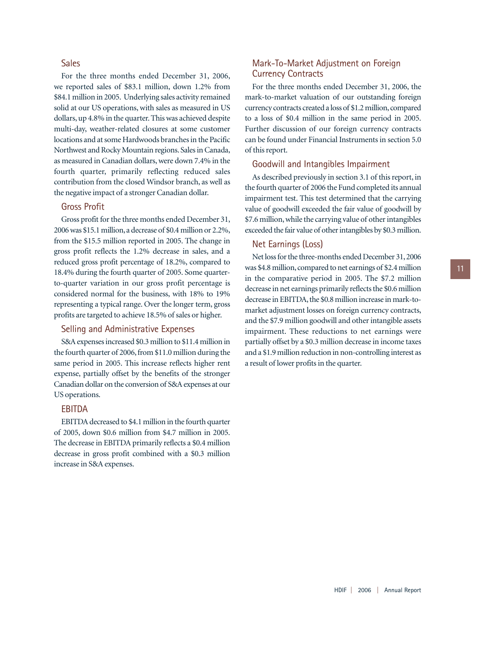## Sales

For the three months ended December 31, 2006, we reported sales of \$83.1 million, down 1.2% from \$84.1 million in 2005. Underlying sales activity remained solid at our US operations, with sales as measured in US dollars, up 4.8% in the quarter. This was achieved despite multi-day, weather-related closures at some customer locations and at some Hardwoods branches in the Pacific Northwest and Rocky Mountain regions. Sales in Canada, as measured in Canadian dollars, were down 7.4% in the fourth quarter, primarily reflecting reduced sales contribution from the closed Windsor branch, as well as the negative impact of a stronger Canadian dollar.

## Gross Profit

Gross profit for the three months ended December 31, 2006 was \$15.1 million, a decrease of \$0.4 million or 2.2%, from the \$15.5 million reported in 2005. The change in gross profit reflects the 1.2% decrease in sales, and a reduced gross profit percentage of 18.2%, compared to 18.4% during the fourth quarter of 2005. Some quarterto-quarter variation in our gross profit percentage is considered normal for the business, with 18% to 19% representing a typical range. Over the longer term, gross profits are targeted to achieve 18.5% of sales or higher.

#### Selling and Administrative Expenses

S&A expenses increased \$0.3 million to \$11.4 million in the fourth quarter of 2006, from \$11.0 million during the same period in 2005. This increase reflects higher rent expense, partially offset by the benefits of the stronger Canadian dollar on the conversion of S&A expenses at our US operations.

## EBITDA

EBITDA decreased to \$4.1 million in the fourth quarter of 2005, down \$0.6 million from \$4.7 million in 2005. The decrease in EBITDA primarily reflects a \$0.4 million decrease in gross profit combined with a \$0.3 million increase in S&A expenses.

## Mark-To-Market Adjustment on Foreign Currency Contracts

For the three months ended December 31, 2006, the mark-to-market valuation of our outstanding foreign currency contracts created a loss of \$1.2 million,compared to a loss of \$0.4 million in the same period in 2005. Further discussion of our foreign currency contracts can be found under Financial Instruments in section 5.0 of this report.

#### Goodwill and Intangibles Impairment

As described previously in section 3.1 of this report, in the fourth quarter of 2006 the Fund completed its annual impairment test. This test determined that the carrying value of goodwill exceeded the fair value of goodwill by \$7.6 million, while the carrying value of other intangibles exceeded the fair value of other intangibles by \$0.3 million.

#### Net Earnings (Loss)

Net loss for the three-months ended December 31,2006 was \$4.8 million, compared to net earnings of \$2.4 million in the comparative period in 2005. The \$7.2 million decrease in net earnings primarily reflects the \$0.6 million decrease in EBITDA, the \$0.8 million increase in mark-tomarket adjustment losses on foreign currency contracts, and the \$7.9 million goodwill and other intangible assets impairment. These reductions to net earnings were partially offset by a \$0.3 million decrease in income taxes and a \$1.9 million reduction in non-controlling interest as a result of lower profits in the quarter.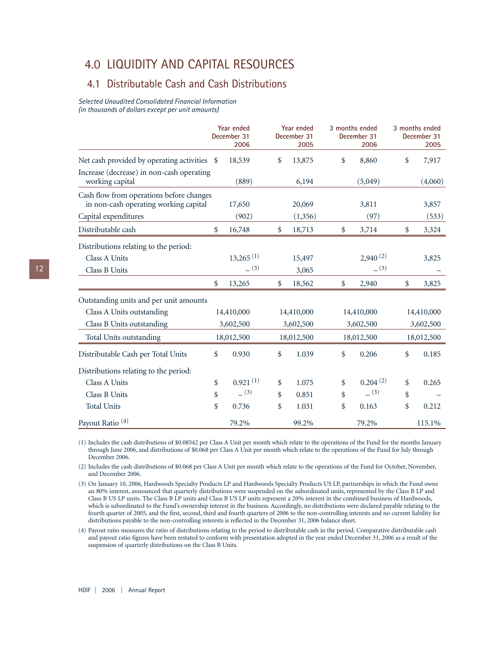## 4.0 LIQUIDITY AND CAPITAL RESOURCES

## 4.1 Distributable Cash and Cash Distributions

*Selected Unaudited Consolidated Financial Information (in thousands of dollars except per unit amounts)*

|                                                              | Year ended<br>December 31<br>2006 | Year ended<br>December 31<br>2005 |               | 3 months ended<br>December 31<br>2006 | 3 months ended<br>December 31<br>2005 |
|--------------------------------------------------------------|-----------------------------------|-----------------------------------|---------------|---------------------------------------|---------------------------------------|
| Net cash provided by operating activities \$                 | 18,539                            | \$<br>13,875                      | \$            | 8,860                                 | \$<br>7,917                           |
| Increase (decrease) in non-cash operating<br>working capital | (889)                             | 6,194                             |               | (5,049)                               | (4,060)                               |
| Cash flow from operations before changes                     |                                   |                                   |               |                                       |                                       |
| in non-cash operating working capital                        | 17,650                            | 20,069                            |               | 3,811                                 | 3,857                                 |
| Capital expenditures                                         | (902)                             | (1,356)                           |               | (97)                                  | (533)                                 |
| Distributable cash                                           | \$<br>16,748                      | \$<br>18,713                      | $\frac{1}{2}$ | 3,714                                 | \$<br>3,324                           |
| Distributions relating to the period:                        |                                   |                                   |               |                                       |                                       |
| Class A Units                                                | $13,265$ <sup>(1)</sup>           | 15,497                            |               | $2,940^{(2)}$                         | 3,825                                 |
| Class B Units                                                | (3)                               | 3,065                             |               | (3)                                   |                                       |
|                                                              | \$<br>13,265                      | \$<br>18,562                      | \$            | 2,940                                 | \$<br>3,825                           |
| Outstanding units and per unit amounts                       |                                   |                                   |               |                                       |                                       |
| Class A Units outstanding                                    | 14,410,000                        | 14,410,000                        |               | 14,410,000                            | 14,410,000                            |
| Class B Units outstanding                                    | 3,602,500                         | 3,602,500                         |               | 3,602,500                             | 3,602,500                             |
| Total Units outstanding                                      | 18,012,500                        | 18,012,500                        |               | 18,012,500                            | 18,012,500                            |
| Distributable Cash per Total Units                           | \$<br>0.930                       | \$<br>1.039                       | \$            | 0.206                                 | \$<br>0.185                           |
| Distributions relating to the period:                        |                                   |                                   |               |                                       |                                       |
| Class A Units                                                | \$<br>0.921(1)                    | \$<br>1.075                       | \$            | 0.204(2)                              | \$<br>0.265                           |
| Class B Units                                                | \$<br>(3)                         | \$<br>0.851                       | \$            | (3)                                   | \$                                    |
| <b>Total Units</b>                                           | \$<br>0.736                       | \$<br>1.031                       | \$            | 0.163                                 | \$<br>0.212                           |
| Payout Ratio <sup>(4)</sup>                                  | 79.2%                             | 99.2%                             |               | 79.2%                                 | 115.1%                                |

(1) Includes the cash distributions of \$0.08542 per Class A Unit per month which relate to the operations of the Fund for the months January through June 2006, and distributions of \$0.068 per Class A Unit per month which relate to the operations of the Fund for July through December 2006.

(2) Includes the cash distributions of \$0.068 per Class A Unit per month which relate to the operations of the Fund for October, November, and December 2006.

(3) On January 10, 2006, Hardwoods Specialty Products LP and Hardwoods Specialty Products US LP, partnerships in which the Fund owns an 80% interest, announced that quarterly distributions were suspended on the subordinated units, represented by the Class B LP and Class B US LP units. The Class B LP units and Class B US LP units represent a 20% interest in the combined business of Hardwoods, which is subordinated to the Fund's ownership interest in the business. Accordingly, no distributions were declared payable relating to the fourth quarter of 2005, and the first, second, third and fourth quarters of 2006 to the non-controlling interests and no current liability for distributions payable to the non-controlling interests is reflected in the December 31, 2006 balance sheet.

(4) Payout ratio measures the ratio of distributions relating to the period to distributable cash in the period. Comparative distributable cash and payout ratio figures have been restated to conform with presentation adopted in the year ended December 31, 2006 as a result of the suspension of quarterly distributions on the Class B Units.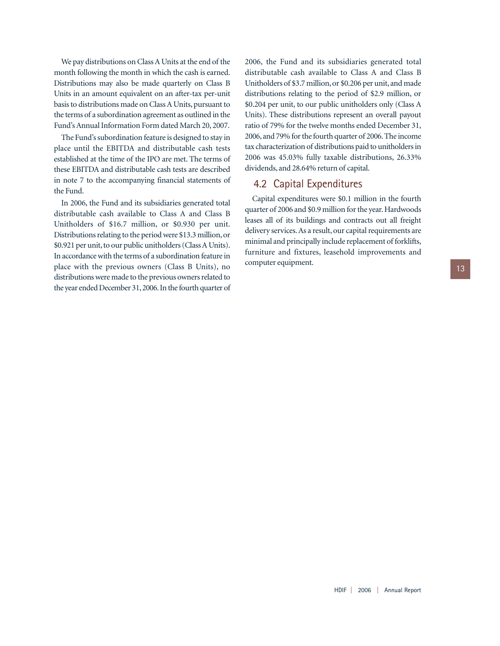We pay distributions on Class A Units at the end of the month following the month in which the cash is earned. Distributions may also be made quarterly on Class B Units in an amount equivalent on an after-tax per-unit basis to distributions made on Class A Units, pursuant to the terms of a subordination agreement as outlined in the Fund's Annual Information Form dated March 20, 2007.

The Fund's subordination feature is designed to stay in place until the EBITDA and distributable cash tests established at the time of the IPO are met. The terms of these EBITDA and distributable cash tests are described in note 7 to the accompanying financial statements of the Fund.

In 2006, the Fund and its subsidiaries generated total distributable cash available to Class A and Class B Unitholders of \$16.7 million, or \$0.930 per unit. Distributions relating to the period were \$13.3 million, or \$0.921 per unit, to our public unitholders (Class A Units). In accordance with the terms of a subordination feature in place with the previous owners (Class B Units), no distributions were made to the previous owners related to the year ended December 31,2006.In the fourth quarter of 2006, the Fund and its subsidiaries generated total distributable cash available to Class A and Class B Unitholders of \$3.7 million, or \$0.206 per unit, and made distributions relating to the period of \$2.9 million, or \$0.204 per unit, to our public unitholders only (Class A Units). These distributions represent an overall payout ratio of 79% for the twelve months ended December 31, 2006, and 79% for the fourth quarter of 2006. The income tax characterization of distributions paid to unitholders in 2006 was 45.03% fully taxable distributions, 26.33% dividends, and 28.64% return of capital.

## 4.2 Capital Expenditures

Capital expenditures were \$0.1 million in the fourth quarter of 2006 and \$0.9 million for the year. Hardwoods leases all of its buildings and contracts out all freight delivery services. As a result, our capital requirements are minimal and principally include replacement of forklifts, furniture and fixtures, leasehold improvements and computer equipment.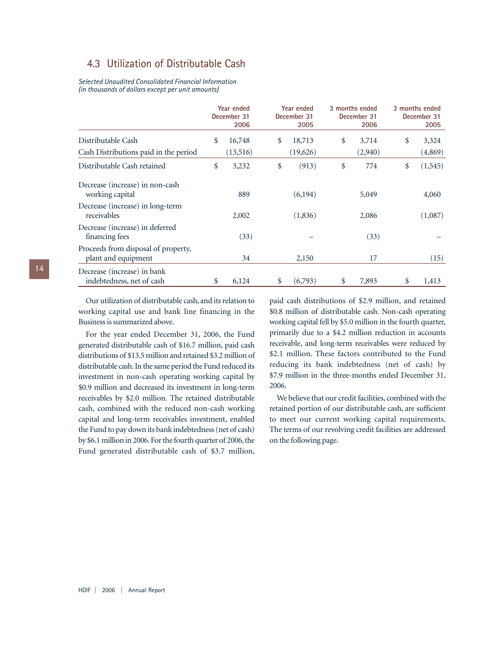## 4.3 Utilization of Distributable Cash

*Selected Unaudited Consolidated Financial Information (in thousands of dollars except per unit amounts)*

|                                                            | Year ended<br>December 31<br>2006 | Year ended<br>December 31<br>2005 | 3 months ended<br>December 31<br>2006 | 3 months ended<br>December 31<br>2005 |
|------------------------------------------------------------|-----------------------------------|-----------------------------------|---------------------------------------|---------------------------------------|
| Distributable Cash                                         | \$<br>16,748                      | \$<br>18,713                      | \$<br>3,714                           | \$<br>3,324                           |
| Cash Distributions paid in the period                      | (13,516)                          | (19,626)                          | (2,940)                               | (4,869)                               |
| Distributable Cash retained                                | \$<br>3,232                       | \$<br>(913)                       | \$<br>774                             | \$<br>(1, 545)                        |
| Decrease (increase) in non-cash<br>working capital         | 889                               | (6,194)                           | 5,049                                 | 4,060                                 |
| Decrease (increase) in long-term<br>receivables            | 2,002                             | (1,836)                           | 2,086                                 | (1,087)                               |
| Decrease (increase) in deferred<br>financing fees          | (33)                              |                                   | (33)                                  |                                       |
| Proceeds from disposal of property,<br>plant and equipment | 34                                | 2,150                             | 17                                    | (15)                                  |
| Decrease (increase) in bank<br>indebtedness, net of cash   | \$<br>6,124                       | \$<br>(6,793)                     | \$<br>7,893                           | \$<br>1,413                           |

Our utilization of distributable cash, and its relation to working capital use and bank line financing in the Business is summarized above.

For the year ended December 31, 2006, the Fund generated distributable cash of \$16.7 million, paid cash distributions of \$13.5 million and retained \$3.2 million of distributable cash.In the same period the Fund reduced its investment in non-cash operating working capital by \$0.9 million and decreased its investment in long-term receivables by \$2.0 million. The retained distributable cash, combined with the reduced non-cash working capital and long-term receivables investment, enabled the Fund to pay down its bank indebtedness (net of cash) by \$6.1 million in 2006. For the fourth quarter of 2006, the Fund generated distributable cash of \$3.7 million, paid cash distributions of \$2.9 million, and retained \$0.8 million of distributable cash. Non-cash operating working capital fell by \$5.0 million in the fourth quarter, primarily due to a \$4.2 million reduction in accounts receivable, and long-term receivables were reduced by \$2.1 million. These factors contributed to the Fund reducing its bank indebtedness (net of cash) by \$7.9 million in the three-months ended December 31, 2006.

We believe that our credit facilities, combined with the retained portion of our distributable cash, are sufficient to meet our current working capital requirements. The terms of our revolving credit facilities are addressed on the following page.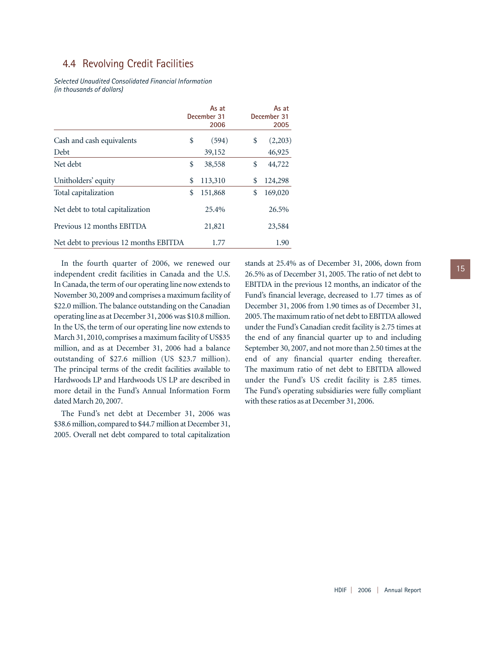## 4.4 Revolving Credit Facilities

*Selected Unaudited Consolidated Financial Information (in thousands of dollars)*

|                                       |    | As at<br>December 31<br>2006 | As at<br>December 31<br>2005 |
|---------------------------------------|----|------------------------------|------------------------------|
| Cash and cash equivalents             | \$ | (594)                        | \$<br>(2,203)                |
| Debt                                  |    | 39,152                       | 46,925                       |
| Net debt                              | \$ | 38,558                       | \$<br>44,722                 |
| Unitholders' equity                   | \$ | 113,310                      | \$<br>124,298                |
| Total capitalization                  | \$ | 151,868                      | \$<br>169,020                |
| Net debt to total capitalization      |    | 25.4%                        | 26.5%                        |
| Previous 12 months EBITDA             |    | 21,821                       | 23,584                       |
| Net debt to previous 12 months EBITDA |    | 1.77                         | 1.90                         |

In the fourth quarter of 2006, we renewed our independent credit facilities in Canada and the U.S. In Canada, the term of our operating line now extends to November 30, 2009 and comprises a maximum facility of \$22.0 million. The balance outstanding on the Canadian operating line as at December 31, 2006 was \$10.8 million. In the US, the term of our operating line now extends to March 31, 2010, comprises a maximum facility of US\$35 million, and as at December 31, 2006 had a balance outstanding of \$27.6 million (US \$23.7 million). The principal terms of the credit facilities available to Hardwoods LP and Hardwoods US LP are described in more detail in the Fund's Annual Information Form dated March 20, 2007.

The Fund's net debt at December 31, 2006 was \$38.6 million, compared to \$44.7 million at December 31, 2005. Overall net debt compared to total capitalization

stands at 25.4% as of December 31, 2006, down from 26.5% as of December 31, 2005. The ratio of net debt to EBITDA in the previous 12 months, an indicator of the Fund's financial leverage, decreased to 1.77 times as of December 31, 2006 from 1.90 times as of December 31, 2005. The maximum ratio of net debt to EBITDA allowed under the Fund's Canadian credit facility is 2.75 times at the end of any financial quarter up to and including September 30, 2007, and not more than 2.50 times at the end of any financial quarter ending thereafter. The maximum ratio of net debt to EBITDA allowed under the Fund's US credit facility is 2.85 times. The Fund's operating subsidiaries were fully compliant with these ratios as at December 31, 2006.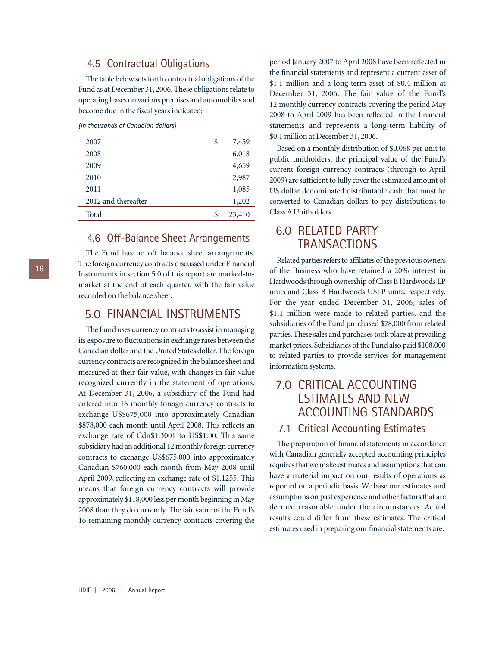## 4.5 Contractual Obligations

The table below sets forth contractual obligations of the Fund as at December 31, 2006. These obligations relate to operating leases on various premises and automobiles and become due in the fiscal years indicated:

#### *(in thousands of Canadian dollars)*

| 2007                | \$<br>7,459  |
|---------------------|--------------|
| 2008                | 6,018        |
| 2009                | 4,659        |
| 2010                | 2,987        |
| 2011                | 1,085        |
| 2012 and thereafter | 1,202        |
| Total               | \$<br>23,410 |
|                     |              |

## 4.6 Off-Balance Sheet Arrangements

The Fund has no off balance sheet arrangements. The foreign currency contracts discussed under Financial Instruments in section 5.0 of this report are marked-tomarket at the end of each quarter, with the fair value recorded on the balance sheet.

## 5.0 FINANCIAL INSTRUMENTS

The Fund uses currency contracts to assist in managing its exposure to fluctuations in exchange rates between the Canadian dollar and the United States dollar. The foreign currency contracts are recognized in the balance sheet and measured at their fair value, with changes in fair value recognized currently in the statement of operations. At December 31, 2006, a subsidiary of the Fund had entered into 16 monthly foreign currency contracts to exchange US\$675,000 into approximately Canadian \$878,000 each month until April 2008. This reflects an exchange rate of Cdn\$1.3001 to US\$1.00. This same subsidiary had an additional 12 monthly foreign currency contracts to exchange US\$675,000 into approximately Canadian \$760,000 each month from May 2008 until April 2009, reflecting an exchange rate of \$1.1255. This means that foreign currency contracts will provide approximately \$118,000 less per month beginning in May 2008 than they do currently. The fair value of the Fund's 16 remaining monthly currency contracts covering the period January 2007 to April 2008 have been reflected in the financial statements and represent a current asset of \$1.1 million and a long-term asset of \$0.4 million at December 31, 2006. The fair value of the Fund's 12 monthly currency contracts covering the period May 2008 to April 2009 has been reflected in the financial statements and represents a long-term liability of \$0.1 million at December 31, 2006.

Based on a monthly distribution of \$0.068 per unit to public unitholders, the principal value of the Fund's current foreign currency contracts (through to April 2009) are sufficient to fully cover the estimated amount of US dollar denominated distributable cash that must be converted to Canadian dollars to pay distributions to Class A Unitholders.

## 6.0 RELATED PARTY **TRANSACTIONS**

Related parties refers to affiliates of the previous owners of the Business who have retained a 20% interest in Hardwoods through ownership of Class B Hardwoods LP units and Class B Hardwoods USLP units, respectively. For the year ended December 31, 2006, sales of \$1.1 million were made to related parties, and the subsidiaries of the Fund purchased \$78,000 from related parties. These sales and purchases took place at prevailing market prices. Subsidiaries of the Fund also paid \$108,000 to related parties to provide services for management information systems.

## 7.0 CRITICAL ACCOUNTING ESTIMATES AND NEW ACCOUNTING STANDARDS

## 7.1 Critical Accounting Estimates

The preparation of financial statements in accordance with Canadian generally accepted accounting principles requires that we make estimates and assumptions that can have a material impact on our results of operations as reported on a periodic basis. We base our estimates and assumptions on past experience and other factors that are deemed reasonable under the circumstances. Actual results could differ from these estimates. The critical estimates used in preparing our financial statements are:

HDIF | 2006 | Annual Report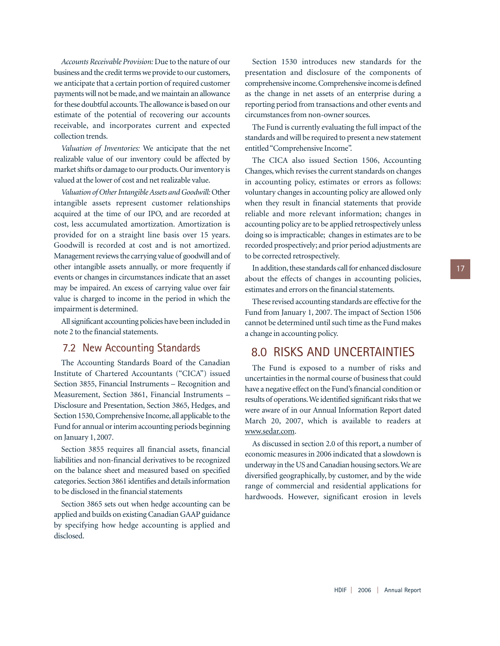*Accounts Receivable Provision:* Due to the nature of our business and the credit terms we provide to our customers, we anticipate that a certain portion of required customer payments will not be made, and we maintain an allowance for these doubtful accounts.The allowance is based on our estimate of the potential of recovering our accounts receivable, and incorporates current and expected collection trends.

*Valuation of Inventories:* We anticipate that the net realizable value of our inventory could be affected by market shifts or damage to our products. Our inventory is valued at the lower of cost and net realizable value.

*Valuation of Other Intangible Assets and Goodwill:*Other intangible assets represent customer relationships acquired at the time of our IPO, and are recorded at cost, less accumulated amortization. Amortization is provided for on a straight line basis over 15 years. Goodwill is recorded at cost and is not amortized. Management reviews the carrying value of goodwill and of other intangible assets annually, or more frequently if events or changes in circumstances indicate that an asset may be impaired. An excess of carrying value over fair value is charged to income in the period in which the impairment is determined.

All significant accounting policies have been included in note 2 to the financial statements.

## 7.2 New Accounting Standards

The Accounting Standards Board of the Canadian Institute of Chartered Accountants ("CICA") issued Section 3855, Financial Instruments – Recognition and Measurement, Section 3861, Financial Instruments – Disclosure and Presentation, Section 3865, Hedges, and Section 1530, Comprehensive Income, all applicable to the Fund for annual or interim accounting periods beginning on January 1, 2007.

Section 3855 requires all financial assets, financial liabilities and non-financial derivatives to be recognized on the balance sheet and measured based on specified categories. Section 3861 identifies and details information to be disclosed in the financial statements

Section 3865 sets out when hedge accounting can be applied and builds on existing Canadian GAAP guidance by specifying how hedge accounting is applied and disclosed.

Section 1530 introduces new standards for the presentation and disclosure of the components of comprehensive income.Comprehensive income is defined as the change in net assets of an enterprise during a reporting period from transactions and other events and circumstances from non-owner sources.

The Fund is currently evaluating the full impact of the standards and will be required to present a new statement entitled "Comprehensive Income".

The CICA also issued Section 1506, Accounting Changes, which revises the current standards on changes in accounting policy, estimates or errors as follows: voluntary changes in accounting policy are allowed only when they result in financial statements that provide reliable and more relevant information; changes in accounting policy are to be applied retrospectively unless doing so is impracticable; changes in estimates are to be recorded prospectively; and prior period adjustments are to be corrected retrospectively.

In addition, these standards call for enhanced disclosure about the effects of changes in accounting policies, estimates and errors on the financial statements.

These revised accounting standards are effective for the Fund from January 1, 2007. The impact of Section 1506 cannot be determined until such time as the Fund makes a change in accounting policy.

## 8.0 RISKS AND UNCERTAINTIES

The Fund is exposed to a number of risks and uncertainties in the normal course of business that could have a negative effect on the Fund's financial condition or results of operations.We identified significant risks that we were aware of in our Annual Information Report dated March 20, 2007, which is available to readers at www.sedar.com.

As discussed in section 2.0 of this report, a number of economic measures in 2006 indicated that a slowdown is underway in the US and Canadian housing sectors.We are diversified geographically, by customer, and by the wide range of commercial and residential applications for hardwoods. However, significant erosion in levels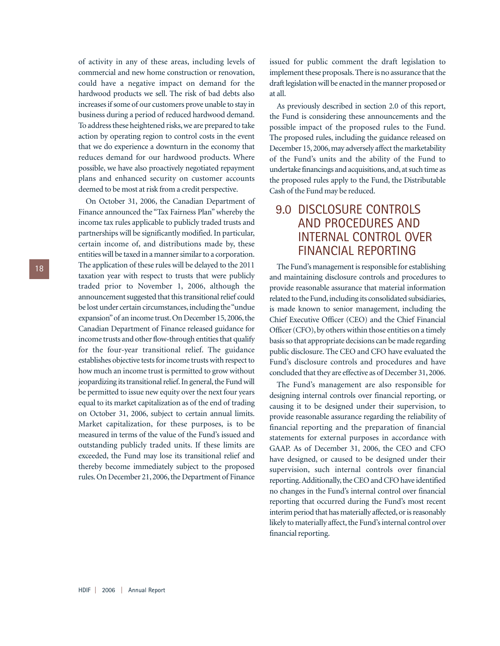of activity in any of these areas, including levels of commercial and new home construction or renovation, could have a negative impact on demand for the hardwood products we sell. The risk of bad debts also increases if some of our customers prove unable to stay in business during a period of reduced hardwood demand. To address these heightened risks, we are prepared to take action by operating region to control costs in the event that we do experience a downturn in the economy that reduces demand for our hardwood products. Where possible, we have also proactively negotiated repayment plans and enhanced security on customer accounts deemed to be most at risk from a credit perspective.

On October 31, 2006, the Canadian Department of Finance announced the "Tax Fairness Plan" whereby the income tax rules applicable to publicly traded trusts and partnerships will be significantly modified. In particular, certain income of, and distributions made by, these entities will be taxed in a manner similar to a corporation. The application of these rules will be delayed to the 2011 taxation year with respect to trusts that were publicly traded prior to November 1, 2006, although the announcement suggested that this transitional relief could be lost under certain circumstances, including the "undue expansion" of an income trust. On December 15, 2006, the Canadian Department of Finance released guidance for income trusts and other flow-through entities that qualify for the four-year transitional relief. The guidance establishes objective tests for income trusts with respect to how much an income trust is permitted to grow without jeopardizing its transitional relief. In general, the Fund will be permitted to issue new equity over the next four years equal to its market capitalization as of the end of trading on October 31, 2006, subject to certain annual limits. Market capitalization, for these purposes, is to be measured in terms of the value of the Fund's issued and outstanding publicly traded units. If these limits are exceeded, the Fund may lose its transitional relief and thereby become immediately subject to the proposed rules. On December 21, 2006, the Department of Finance

issued for public comment the draft legislation to implement these proposals. There is no assurance that the draft legislation will be enacted in the manner proposed or at all.

As previously described in section 2.0 of this report, the Fund is considering these announcements and the possible impact of the proposed rules to the Fund. The proposed rules, including the guidance released on December 15, 2006, may adversely affect the marketability of the Fund's units and the ability of the Fund to undertake financings and acquisitions, and, at such time as the proposed rules apply to the Fund, the Distributable Cash of the Fund may be reduced.

## 9.0 DISCLOSURE CONTROLS AND PROCEDURES AND INTERNAL CONTROL OVER FINANCIAL REPORTING

The Fund's management is responsible for establishing and maintaining disclosure controls and procedures to provide reasonable assurance that material information related to the Fund, including its consolidated subsidiaries, is made known to senior management, including the Chief Executive Officer (CEO) and the Chief Financial Officer (CFO), by others within those entities on a timely basis so that appropriate decisions can be made regarding public disclosure. The CEO and CFO have evaluated the Fund's disclosure controls and procedures and have concluded that they are effective as of December 31, 2006.

The Fund's management are also responsible for designing internal controls over financial reporting, or causing it to be designed under their supervision, to provide reasonable assurance regarding the reliability of financial reporting and the preparation of financial statements for external purposes in accordance with GAAP. As of December 31, 2006, the CEO and CFO have designed, or caused to be designed under their supervision, such internal controls over financial reporting.Additionally, the CEO and CFO have identified no changes in the Fund's internal control over financial reporting that occurred during the Fund's most recent interim period that has materially affected, or is reasonably likely to materially affect, the Fund's internal control over financial reporting.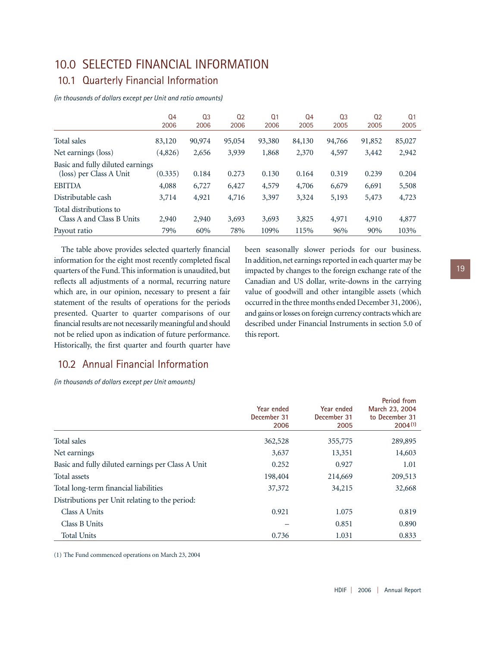## 10.0 SELECTED FINANCIAL INFORMATION

## 10.1 Quarterly Financial Information

*(in thousands of dollars except per Unit and ratio amounts)*

|                                  | Q <sub>4</sub><br>2006 | Q <sub>3</sub><br>2006 | Q <sub>2</sub><br>2006 | Q <sub>1</sub><br>2006 | Q <sub>4</sub><br>2005 | 03<br>2005 | Q <sub>2</sub><br>2005 | Q <sub>1</sub><br>2005 |
|----------------------------------|------------------------|------------------------|------------------------|------------------------|------------------------|------------|------------------------|------------------------|
|                                  |                        |                        |                        |                        |                        |            |                        |                        |
| Total sales                      | 83,120                 | 90,974                 | 95,054                 | 93,380                 | 84,130                 | 94,766     | 91,852                 | 85,027                 |
| Net earnings (loss)              | (4,826)                | 2,656                  | 3,939                  | 1,868                  | 2,370                  | 4,597      | 3,442                  | 2,942                  |
| Basic and fully diluted earnings |                        |                        |                        |                        |                        |            |                        |                        |
| (loss) per Class A Unit          | (0.335)                | 0.184                  | 0.273                  | 0.130                  | 0.164                  | 0.319      | 0.239                  | 0.204                  |
| <b>EBITDA</b>                    | 4,088                  | 6,727                  | 6,427                  | 4,579                  | 4,706                  | 6,679      | 6,691                  | 5,508                  |
| Distributable cash               | 3,714                  | 4,921                  | 4,716                  | 3,397                  | 3,324                  | 5,193      | 5,473                  | 4,723                  |
| Total distributions to           |                        |                        |                        |                        |                        |            |                        |                        |
| Class A and Class B Units        | 2,940                  | 2,940                  | 3,693                  | 3,693                  | 3,825                  | 4,971      | 4,910                  | 4,877                  |
| Payout ratio                     | 79%                    | 60%                    | 78%                    | 109%                   | 115%                   | 96%        | 90%                    | 103%                   |

The table above provides selected quarterly financial information for the eight most recently completed fiscal quarters of the Fund. This information is unaudited, but reflects all adjustments of a normal, recurring nature which are, in our opinion, necessary to present a fair statement of the results of operations for the periods presented. Quarter to quarter comparisons of our financial results are not necessarily meaningful and should not be relied upon as indication of future performance. Historically, the first quarter and fourth quarter have

been seasonally slower periods for our business. In addition, net earnings reported in each quarter may be impacted by changes to the foreign exchange rate of the Canadian and US dollar, write-downs in the carrying value of goodwill and other intangible assets (which occurred in the three months ended December 31, 2006), and gains or losses on foreign currency contracts which are described under Financial Instruments in section 5.0 of this report.

## 10.2 Annual Financial Information

*(in thousands of dollars except per Unit amounts)*

|                                                   | Year ended<br>December 31<br>2006 | Year ended<br>December 31<br>2005 | Period from<br>March 23, 2004<br>to December 31<br>2004(1) |
|---------------------------------------------------|-----------------------------------|-----------------------------------|------------------------------------------------------------|
| Total sales                                       | 362,528                           | 355,775                           | 289,895                                                    |
| Net earnings                                      | 3,637                             | 13,351                            | 14,603                                                     |
| Basic and fully diluted earnings per Class A Unit | 0.252                             | 0.927                             | 1.01                                                       |
| Total assets                                      | 198,404                           | 214,669                           | 209,513                                                    |
| Total long-term financial liabilities             | 37,372                            | 34,215                            | 32,668                                                     |
| Distributions per Unit relating to the period:    |                                   |                                   |                                                            |
| Class A Units                                     | 0.921                             | 1.075                             | 0.819                                                      |
| Class B Units                                     |                                   | 0.851                             | 0.890                                                      |
| <b>Total Units</b>                                | 0.736                             | 1.031                             | 0.833                                                      |

(1) The Fund commenced operations on March 23, 2004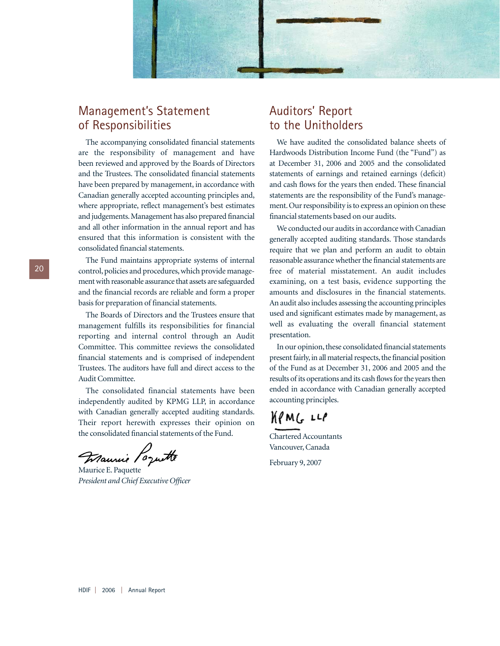

## Management's Statement of Responsibilities

The accompanying consolidated financial statements are the responsibility of management and have been reviewed and approved by the Boards of Directors and the Trustees. The consolidated financial statements have been prepared by management, in accordance with Canadian generally accepted accounting principles and, where appropriate, reflect management's best estimates and judgements. Management has also prepared financial and all other information in the annual report and has ensured that this information is consistent with the consolidated financial statements.

The Fund maintains appropriate systems of internal control, policies and procedures, which provide management with reasonable assurance that assets are safeguarded and the financial records are reliable and form a proper basis for preparation of financial statements.

The Boards of Directors and the Trustees ensure that management fulfills its responsibilities for financial reporting and internal control through an Audit Committee. This committee reviews the consolidated financial statements and is comprised of independent Trustees. The auditors have full and direct access to the Audit Committee.

The consolidated financial statements have been independently audited by KPMG LLP, in accordance with Canadian generally accepted auditing standards. Their report herewith expresses their opinion on the consolidated financial statements of the Fund.

Maurie Poquette

Maurice E. Paquette *President and Chief Executive Officer*

## Auditors' Report to the Unitholders

We have audited the consolidated balance sheets of Hardwoods Distribution Income Fund (the "Fund") as at December 31, 2006 and 2005 and the consolidated statements of earnings and retained earnings (deficit) and cash flows for the years then ended. These financial statements are the responsibility of the Fund's management. Our responsibility is to express an opinion on these financial statements based on our audits.

We conducted our audits in accordance with Canadian generally accepted auditing standards. Those standards require that we plan and perform an audit to obtain reasonable assurance whether the financial statements are free of material misstatement. An audit includes examining, on a test basis, evidence supporting the amounts and disclosures in the financial statements. An audit also includes assessing the accounting principles used and significant estimates made by management, as well as evaluating the overall financial statement presentation.

In our opinion, these consolidated financial statements present fairly, in all material respects, the financial position of the Fund as at December 31, 2006 and 2005 and the results of its operations and its cash flows for the years then ended in accordance with Canadian generally accepted accounting principles.

 $M/MG$   $LLP$ 

Chartered Accountants Vancouver, Canada

February 9, 2007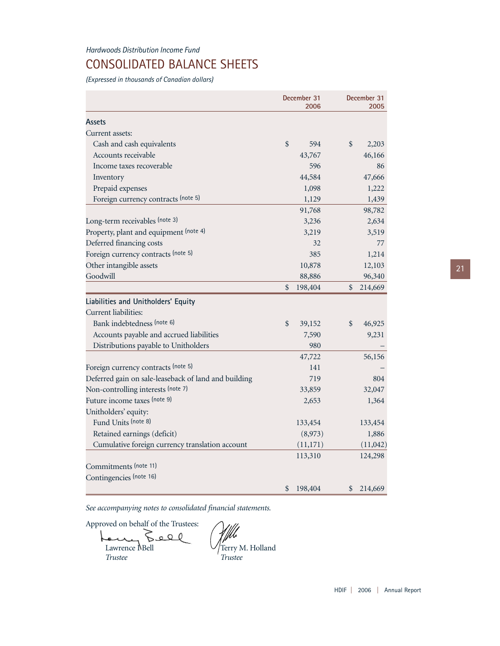## CONSOLIDATED BALANCE SHEETS

*(Expressed in thousands of Canadian dollars)*

|                                                      | December 31<br>2006 |           | December 31<br>2005 |  |
|------------------------------------------------------|---------------------|-----------|---------------------|--|
| Assets                                               |                     |           |                     |  |
| Current assets:                                      |                     |           |                     |  |
| Cash and cash equivalents                            | $\frac{1}{2}$       | 594       | \$<br>2,203         |  |
| Accounts receivable                                  |                     | 43,767    | 46,166              |  |
| Income taxes recoverable                             |                     | 596       | 86                  |  |
| Inventory                                            |                     | 44,584    | 47,666              |  |
| Prepaid expenses                                     |                     | 1,098     | 1,222               |  |
| Foreign currency contracts (note 5)                  |                     | 1,129     | 1,439               |  |
|                                                      |                     | 91,768    | 98,782              |  |
| Long-term receivables (note 3)                       |                     | 3,236     | 2,634               |  |
| Property, plant and equipment (note 4)               |                     | 3,219     | 3,519               |  |
| Deferred financing costs                             |                     | 32        | 77                  |  |
| Foreign currency contracts (note 5)                  |                     | 385       | 1,214               |  |
| Other intangible assets                              |                     | 10,878    | 12,103              |  |
| Goodwill                                             |                     | 88,886    | 96,340              |  |
|                                                      | \$                  | 198,404   | \$<br>214,669       |  |
| Liabilities and Unitholders' Equity                  |                     |           |                     |  |
| Current liabilities:                                 |                     |           |                     |  |
| Bank indebtedness (note 6)                           | $\mathcal{S}$       | 39,152    | \$<br>46,925        |  |
| Accounts payable and accrued liabilities             |                     | 7,590     | 9,231               |  |
| Distributions payable to Unitholders                 |                     | 980       |                     |  |
|                                                      |                     | 47,722    | 56,156              |  |
| Foreign currency contracts (note 5)                  |                     | 141       |                     |  |
| Deferred gain on sale-leaseback of land and building |                     | 719       | 804                 |  |
| Non-controlling interests (note 7)                   |                     | 33,859    | 32,047              |  |
| Future income taxes (note 9)                         |                     | 2,653     | 1,364               |  |
| Unitholders' equity:                                 |                     |           |                     |  |
| Fund Units (note 8)                                  |                     | 133,454   | 133,454             |  |
| Retained earnings (deficit)                          |                     | (8,973)   | 1,886               |  |
| Cumulative foreign currency translation account      |                     | (11, 171) | (11,042)            |  |
|                                                      |                     | 113,310   | 124,298             |  |
| Commitments (note 11)                                |                     |           |                     |  |
| Contingencies (note 16)                              |                     |           |                     |  |
|                                                      | \$                  | 198,404   | \$<br>214,669       |  |

*See accompanying notes to consolidated financial statements.*

Approved on behalf of the Trustees: 0 ه م Р Lawrence NBell  $\bigvee$  Terry M. Holland *Trustee Trustee*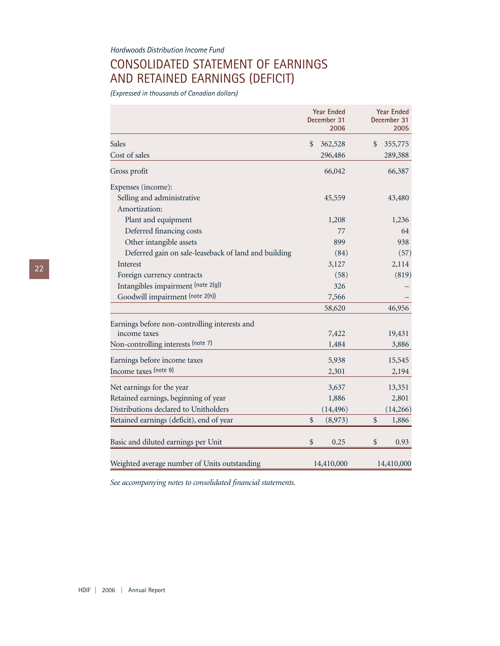## CONSOLIDATED STATEMENT OF EARNINGS AND RETAINED EARNINGS (DEFICIT)

*(Expressed in thousands of Canadian dollars)*

|                                                      | <b>Year Ended</b><br>December 31<br>2006 | <b>Year Ended</b><br>December 31<br>2005 |            |  |
|------------------------------------------------------|------------------------------------------|------------------------------------------|------------|--|
| <b>Sales</b>                                         | \$<br>362,528                            | \$                                       | 355,775    |  |
| Cost of sales                                        | 296,486                                  |                                          | 289,388    |  |
| Gross profit                                         | 66,042                                   |                                          | 66,387     |  |
| Expenses (income):                                   |                                          |                                          |            |  |
| Selling and administrative                           | 45,559                                   |                                          | 43,480     |  |
| Amortization:                                        |                                          |                                          |            |  |
| Plant and equipment                                  | 1,208                                    |                                          | 1,236      |  |
| Deferred financing costs                             | 77                                       |                                          | 64         |  |
| Other intangible assets                              | 899                                      |                                          | 938        |  |
| Deferred gain on sale-leaseback of land and building | (84)                                     |                                          | (57)       |  |
| Interest                                             | 3,127                                    |                                          | 2,114      |  |
| Foreign currency contracts                           | (58)                                     |                                          | (819)      |  |
| Intangibles impairment (note 2(g))                   | 326                                      |                                          |            |  |
| Goodwill impairment (note 2(h))                      | 7,566                                    |                                          |            |  |
|                                                      | 58,620                                   |                                          | 46,956     |  |
| Earnings before non-controlling interests and        |                                          |                                          |            |  |
| income taxes                                         | 7,422                                    |                                          | 19,431     |  |
| Non-controlling interests (note 7)                   | 1,484                                    |                                          | 3,886      |  |
| Earnings before income taxes                         | 5,938                                    |                                          | 15,545     |  |
| Income taxes (note 9)                                | 2,301                                    |                                          | 2,194      |  |
| Net earnings for the year                            | 3,637                                    |                                          | 13,351     |  |
| Retained earnings, beginning of year                 | 1,886                                    |                                          | 2,801      |  |
| Distributions declared to Unitholders                | (14, 496)                                |                                          | (14,266)   |  |
| Retained earnings (deficit), end of year             | \$<br>(8,973)                            | \$                                       | 1,886      |  |
| Basic and diluted earnings per Unit                  | \$<br>0.25                               | \$                                       | 0.93       |  |
| Weighted average number of Units outstanding         | 14,410,000                               |                                          | 14,410,000 |  |

*See accompanying notes to consolidated financial statements.*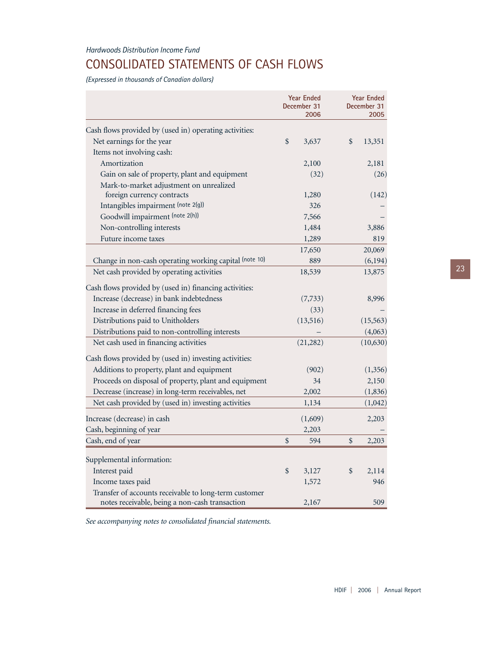## CONSOLIDATED STATEMENTS OF CASH FLOWS

*(Expressed in thousands of Canadian dollars)*

|                                                        |               | <b>Year Ended</b><br>December 31<br>2006 | <b>Year Ended</b><br>December 31<br>2005 |
|--------------------------------------------------------|---------------|------------------------------------------|------------------------------------------|
|                                                        |               |                                          |                                          |
| Cash flows provided by (used in) operating activities: |               |                                          |                                          |
| Net earnings for the year                              | $\frac{1}{2}$ | 3,637                                    | \$<br>13,351                             |
| Items not involving cash:                              |               |                                          |                                          |
| Amortization                                           |               | 2,100                                    | 2,181                                    |
| Gain on sale of property, plant and equipment          |               | (32)                                     | (26)                                     |
| Mark-to-market adjustment on unrealized                |               |                                          |                                          |
| foreign currency contracts                             |               | 1,280                                    | (142)                                    |
| Intangibles impairment (note 2(g))                     |               | 326                                      |                                          |
| Goodwill impairment (note 2(h))                        |               | 7,566                                    |                                          |
| Non-controlling interests                              |               | 1,484                                    | 3,886                                    |
| Future income taxes                                    |               | 1,289                                    | 819                                      |
|                                                        |               | 17,650                                   | 20,069                                   |
| Change in non-cash operating working capital (note 10) |               | 889                                      | (6, 194)                                 |
| Net cash provided by operating activities              |               | 18,539                                   | 13,875                                   |
| Cash flows provided by (used in) financing activities: |               |                                          |                                          |
| Increase (decrease) in bank indebtedness               |               | (7, 733)                                 | 8,996                                    |
| Increase in deferred financing fees                    |               | (33)                                     |                                          |
| Distributions paid to Unitholders                      |               | (13,516)                                 | (15, 563)                                |
| Distributions paid to non-controlling interests        |               |                                          | (4,063)                                  |
| Net cash used in financing activities                  |               | (21, 282)                                | (10, 630)                                |
| Cash flows provided by (used in) investing activities: |               |                                          |                                          |
| Additions to property, plant and equipment             |               | (902)                                    | (1, 356)                                 |
| Proceeds on disposal of property, plant and equipment  |               | 34                                       | 2,150                                    |
| Decrease (increase) in long-term receivables, net      |               | 2,002                                    | (1, 836)                                 |
| Net cash provided by (used in) investing activities    |               | 1,134                                    | (1,042)                                  |
| Increase (decrease) in cash                            |               | (1,609)                                  | 2,203                                    |
| Cash, beginning of year                                |               | 2,203                                    |                                          |
| Cash, end of year                                      | $\frac{1}{2}$ | 594                                      | \$<br>2,203                              |
| Supplemental information:                              |               |                                          |                                          |
| Interest paid                                          | $\frac{1}{2}$ | 3,127                                    | \$<br>2,114                              |
| Income taxes paid                                      |               | 1,572                                    | 946                                      |
| Transfer of accounts receivable to long-term customer  |               |                                          |                                          |
| notes receivable, being a non-cash transaction         |               | 2,167                                    | 509                                      |

*See accompanying notes to consolidated financial statements.*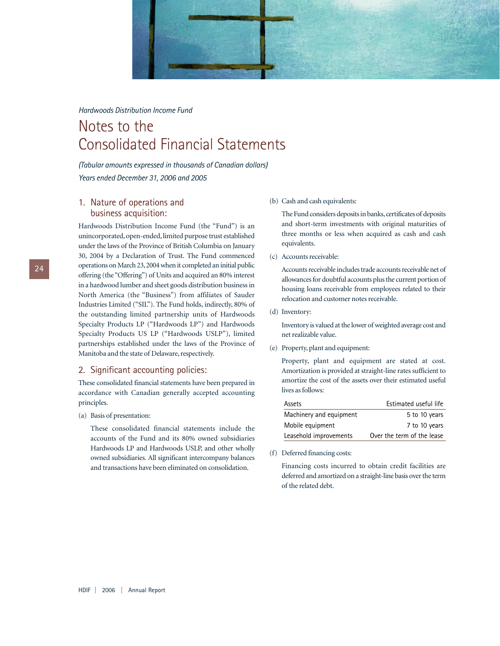

## Notes to the Consolidated Financial Statements

*(Tabular amounts expressed in thousands of Canadian dollars) Years ended December 31, 2006 and 2005*

## 1. Nature of operations and business acquisition:

Hardwoods Distribution Income Fund (the "Fund") is an unincorporated, open-ended, limited purpose trust established under the laws of the Province of British Columbia on January 30, 2004 by a Declaration of Trust. The Fund commenced operations on March 23,2004 when it completed an initial public offering (the "Offering") of Units and acquired an 80% interest in a hardwood lumber and sheet goods distribution business in North America (the "Business") from affiliates of Sauder Industries Limited ("SIL"). The Fund holds, indirectly, 80% of the outstanding limited partnership units of Hardwoods Specialty Products LP ("Hardwoods LP") and Hardwoods Specialty Products US LP ("Hardwoods USLP"), limited partnerships established under the laws of the Province of Manitoba and the state of Delaware, respectively.

#### 2. Significant accounting policies:

These consolidated financial statements have been prepared in accordance with Canadian generally accepted accounting principles.

#### (a) Basis of presentation:

These consolidated financial statements include the accounts of the Fund and its 80% owned subsidiaries Hardwoods LP and Hardwoods USLP, and other wholly owned subsidiaries. All significant intercompany balances and transactions have been eliminated on consolidation.

#### (b) Cash and cash equivalents:

The Fund considers deposits in banks, certificates of deposits and short-term investments with original maturities of three months or less when acquired as cash and cash equivalents.

(c) Accounts receivable:

Accounts receivable includes trade accounts receivable net of allowances for doubtful accounts plus the current portion of housing loans receivable from employees related to their relocation and customer notes receivable.

(d) Inventory:

Inventory is valued at the lower of weighted average cost and net realizable value.

(e) Property, plant and equipment:

Property, plant and equipment are stated at cost. Amortization is provided at straight-line rates sufficient to amortize the cost of the assets over their estimated useful lives as follows:

| Assets                  | Estimated useful life      |
|-------------------------|----------------------------|
| Machinery and equipment | 5 to 10 years              |
| Mobile equipment        | 7 to 10 years              |
| Leasehold improvements  | Over the term of the lease |

(f) Deferred financing costs:

Financing costs incurred to obtain credit facilities are deferred and amortized on a straight-line basis over the term of the related debt.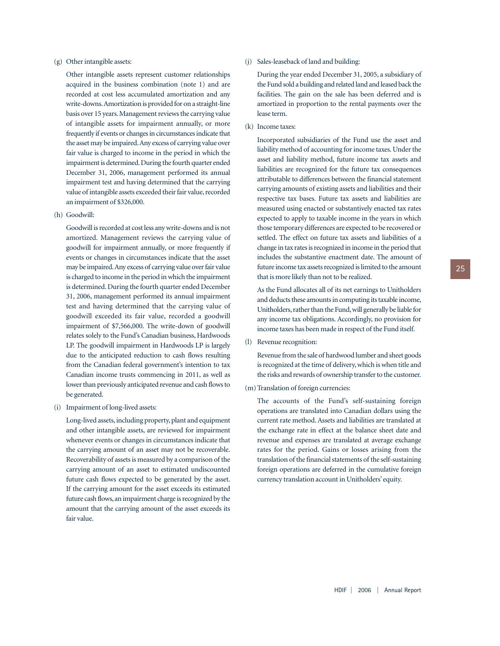#### (g) Other intangible assets:

Other intangible assets represent customer relationships acquired in the business combination (note 1) and are recorded at cost less accumulated amortization and any write-downs.Amortization is provided for on a straight-line basis over 15 years. Management reviews the carrying value of intangible assets for impairment annually, or more frequently if events or changes in circumstances indicate that the asset may be impaired.Any excess of carrying value over fair value is charged to income in the period in which the impairment is determined. During the fourth quarter ended December 31, 2006, management performed its annual impairment test and having determined that the carrying value of intangible assets exceeded their fair value, recorded an impairment of \$326,000.

(h) Goodwill:

Goodwill is recorded at cost less any write-downs and is not amortized. Management reviews the carrying value of goodwill for impairment annually, or more frequently if events or changes in circumstances indicate that the asset may be impaired.Any excess of carrying value over fair value is charged to income in the period in which the impairment is determined. During the fourth quarter ended December 31, 2006, management performed its annual impairment test and having determined that the carrying value of goodwill exceeded its fair value, recorded a goodwill impairment of \$7,566,000. The write-down of goodwill relates solely to the Fund's Canadian business, Hardwoods LP. The goodwill impairment in Hardwoods LP is largely due to the anticipated reduction to cash flows resulting from the Canadian federal government's intention to tax Canadian income trusts commencing in 2011, as well as lower than previously anticipated revenue and cash flows to be generated.

(i) Impairment of long-lived assets:

Long-lived assets, including property, plant and equipment and other intangible assets, are reviewed for impairment whenever events or changes in circumstances indicate that the carrying amount of an asset may not be recoverable. Recoverability of assets is measured by a comparison of the carrying amount of an asset to estimated undiscounted future cash flows expected to be generated by the asset. If the carrying amount for the asset exceeds its estimated future cash flows, an impairment charge is recognized by the amount that the carrying amount of the asset exceeds its fair value.

#### (j) Sales-leaseback of land and building:

During the year ended December 31, 2005, a subsidiary of the Fund sold a building and related land and leased back the facilities. The gain on the sale has been deferred and is amortized in proportion to the rental payments over the lease term.

(k) Income taxes:

Incorporated subsidiaries of the Fund use the asset and liability method of accounting for income taxes. Under the asset and liability method, future income tax assets and liabilities are recognized for the future tax consequences attributable to differences between the financial statement carrying amounts of existing assets and liabilities and their respective tax bases. Future tax assets and liabilities are measured using enacted or substantively enacted tax rates expected to apply to taxable income in the years in which those temporary differences are expected to be recovered or settled. The effect on future tax assets and liabilities of a change in tax rates is recognized in income in the period that includes the substantive enactment date. The amount of future income tax assets recognized is limited to the amount that is more likely than not to be realized.

As the Fund allocates all of its net earnings to Unitholders and deducts these amounts in computing its taxable income, Unitholders, rather than the Fund, will generally be liable for any income tax obligations. Accordingly, no provision for income taxes has been made in respect of the Fund itself.

(l) Revenue recognition:

Revenue from the sale of hardwood lumber and sheet goods is recognized at the time of delivery, which is when title and the risks and rewards of ownership transfer to the customer.

(m) Translation of foreign currencies:

The accounts of the Fund's self-sustaining foreign operations are translated into Canadian dollars using the current rate method. Assets and liabilities are translated at the exchange rate in effect at the balance sheet date and revenue and expenses are translated at average exchange rates for the period. Gains or losses arising from the translation of the financial statements of the self-sustaining foreign operations are deferred in the cumulative foreign currency translation account in Unitholders' equity.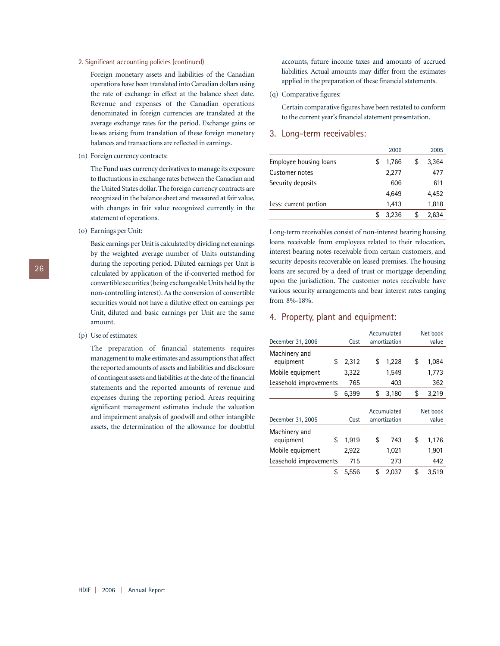#### 2. Significant accounting policies (continued)

Foreign monetary assets and liabilities of the Canadian operations have been translated into Canadian dollars using the rate of exchange in effect at the balance sheet date. Revenue and expenses of the Canadian operations denominated in foreign currencies are translated at the average exchange rates for the period. Exchange gains or losses arising from translation of these foreign monetary balances and transactions are reflected in earnings.

(n) Foreign currency contracts:

The Fund uses currency derivatives to manage its exposure to fluctuations in exchange rates between the Canadian and the United States dollar. The foreign currency contracts are recognized in the balance sheet and measured at fair value, with changes in fair value recognized currently in the statement of operations.

(o) Earnings per Unit:

Basic earnings per Unit is calculated by dividing net earnings by the weighted average number of Units outstanding during the reporting period. Diluted earnings per Unit is calculated by application of the if-converted method for convertible securities (being exchangeable Units held by the non-controlling interest). As the conversion of convertible securities would not have a dilutive effect on earnings per Unit, diluted and basic earnings per Unit are the same amount.

(p) Use of estimates:

The preparation of financial statements requires management to make estimates and assumptions that affect the reported amounts of assets and liabilities and disclosure of contingent assets and liabilities at the date of the financial statements and the reported amounts of revenue and expenses during the reporting period. Areas requiring significant management estimates include the valuation and impairment analysis of goodwill and other intangible assets, the determination of the allowance for doubtful

accounts, future income taxes and amounts of accrued liabilities. Actual amounts may differ from the estimates applied in the preparation of these financial statements.

(q) Comparative figures:

Certain comparative figures have been restated to conform to the current year's financial statement presentation.

#### 3. Long-term receivables:

|                        | 2006  | 2005        |
|------------------------|-------|-------------|
| Employee housing loans | 1.766 | \$<br>3,364 |
| Customer notes         | 2,277 | 477         |
| Security deposits      | 606   | 611         |
|                        | 4.649 | 4,452       |
| Less: current portion  | 1.413 | 1,818       |
|                        | 3,236 | 2.634       |

Long-term receivables consist of non-interest bearing housing loans receivable from employees related to their relocation, interest bearing notes receivable from certain customers, and security deposits recoverable on leased premises. The housing loans are secured by a deed of trust or mortgage depending upon the jurisdiction. The customer notes receivable have various security arrangements and bear interest rates ranging from 8%-18%.

#### 4. Property, plant and equipment:

| December 31, 2006      | Cost  | Accumulated<br>amortization |    | Net book<br>value |
|------------------------|-------|-----------------------------|----|-------------------|
| Machinery and          |       |                             |    |                   |
| \$<br>equipment        | 2.312 | \$<br>1,228                 | \$ | 1,084             |
| Mobile equipment       | 3,322 | 1,549                       |    | 1,773             |
| Leasehold improvements | 765   | 403                         |    | 362               |
| \$                     | 6,399 | \$<br>3,180                 | \$ | 3,219             |
|                        |       |                             |    |                   |
|                        |       | Accumulated                 |    | Net book          |
| December 31, 2005      | Cost  | amortization                |    | value             |
| Machinery and          |       |                             |    |                   |
| \$<br>equipment        | 1,919 | \$<br>743                   | \$ | 1,176             |
| Mobile equipment       | 2,922 | 1,021                       |    | 1,901             |
| Leasehold improvements | 715   | 273                         |    | 442               |
| \$                     | 5.556 | \$<br>2,037                 | \$ | 3,519             |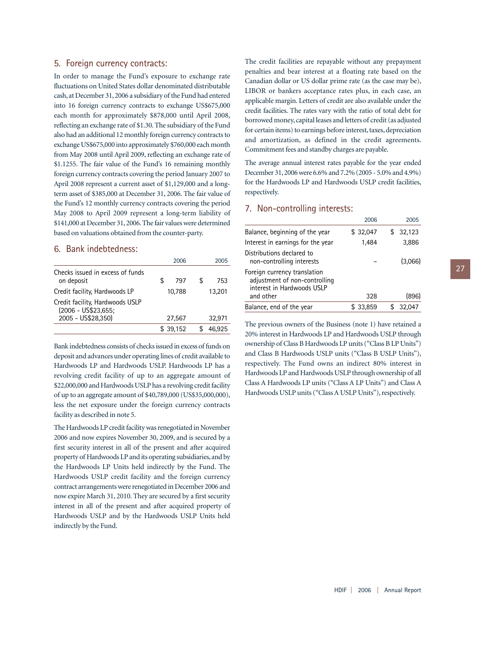## 5. Foreign currency contracts:

In order to manage the Fund's exposure to exchange rate fluctuations on United States dollar denominated distributable cash, at December 31, 2006 a subsidiary of the Fund had entered into 16 foreign currency contracts to exchange US\$675,000 each month for approximately \$878,000 until April 2008, reflecting an exchange rate of \$1.30. The subsidiary of the Fund also had an additional 12 monthly foreign currency contracts to exchange US\$675,000 into approximately \$760,000 each month from May 2008 until April 2009, reflecting an exchange rate of \$1.1255. The fair value of the Fund's 16 remaining monthly foreign currency contracts covering the period January 2007 to April 2008 represent a current asset of \$1,129,000 and a longterm asset of \$385,000 at December 31, 2006. The fair value of the Fund's 12 monthly currency contracts covering the period May 2008 to April 2009 represent a long-term liability of \$141,000 at December 31, 2006. The fair values were determined based on valuations obtained from the counter-party.

#### 6. Bank indebtedness:

|                                                        | 2006      |     | 2005   |
|--------------------------------------------------------|-----------|-----|--------|
| Checks issued in excess of funds<br>on deposit         | \$<br>797 | \$. | 753    |
| Credit facility, Hardwoods LP                          | 10.788    |     | 13.201 |
| Credit facility, Hardwoods USLP<br>(2006 - US\$23,655; |           |     |        |
| 2005 - US\$28,350)                                     | 27,567    |     | 32,971 |
|                                                        | \$39.152  |     | 46.925 |

Bank indebtedness consists of checks issued in excess of funds on deposit and advances under operating lines of credit available to Hardwoods LP and Hardwoods USLP. Hardwoods LP has a revolving credit facility of up to an aggregate amount of \$22,000,000 and Hardwoods USLP has a revolving credit facility of up to an aggregate amount of \$40,789,000 (US\$35,000,000), less the net exposure under the foreign currency contracts facility as described in note 5.

The Hardwoods LP credit facility was renegotiated in November 2006 and now expires November 30, 2009, and is secured by a first security interest in all of the present and after acquired property of Hardwoods LP and its operating subsidiaries, and by the Hardwoods LP Units held indirectly by the Fund. The Hardwoods USLP credit facility and the foreign currency contract arrangements were renegotiated in December 2006 and now expire March 31, 2010. They are secured by a first security interest in all of the present and after acquired property of Hardwoods USLP and by the Hardwoods USLP Units held indirectly by the Fund.

The credit facilities are repayable without any prepayment penalties and bear interest at a floating rate based on the Canadian dollar or US dollar prime rate (as the case may be), LIBOR or bankers acceptance rates plus, in each case, an applicable margin. Letters of credit are also available under the credit facilities. The rates vary with the ratio of total debt for borrowed money, capital leases and letters of credit (as adjusted for certain items) to earnings before interest, taxes, depreciation and amortization, as defined in the credit agreements. Commitment fees and standby charges are payable.

The average annual interest rates payable for the year ended December 31, 2006 were 6.6% and 7.2% (2005 - 5.0% and 4.9%) for the Hardwoods LP and Hardwoods USLP credit facilities, respectively.

## 7. Non-controlling interests:

|                                                                                             | 2006     |     | 2005    |
|---------------------------------------------------------------------------------------------|----------|-----|---------|
| Balance, beginning of the year                                                              | \$32,047 | \$. | 32,123  |
| Interest in earnings for the year                                                           | 1,484    |     | 3,886   |
| Distributions declared to<br>non-controlling interests                                      |          |     | (3,066) |
| Foreign currency translation<br>adjustment of non-controlling<br>interest in Hardwoods USLP |          |     |         |
| and other                                                                                   | 328      |     | (896)   |
| Balance, end of the year                                                                    | \$33,859 |     | 32,047  |

The previous owners of the Business (note 1) have retained a 20% interest in Hardwoods LP and Hardwoods USLP through ownership of Class B Hardwoods LP units ("Class B LP Units") and Class B Hardwoods USLP units ("Class B USLP Units"), respectively. The Fund owns an indirect 80% interest in Hardwoods LP and Hardwoods USLP through ownership of all Class A Hardwoods LP units ("Class A LP Units") and Class A Hardwoods USLP units ("Class A USLP Units"), respectively.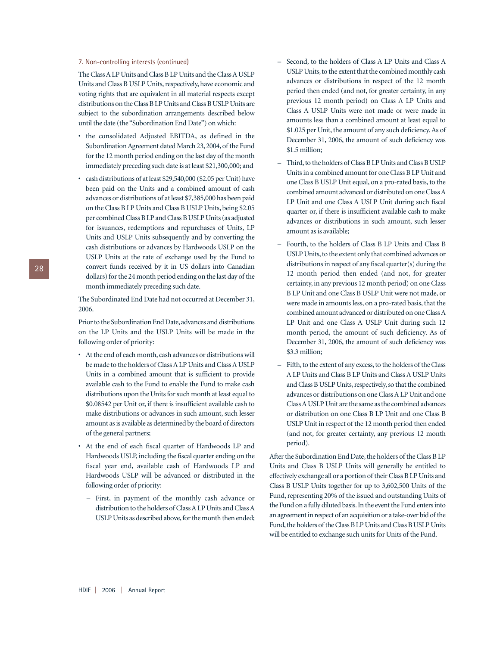#### 7. Non-controlling interests (continued)

The Class A LP Units and Class B LP Units and the Class A USLP Units and Class B USLP Units, respectively, have economic and voting rights that are equivalent in all material respects except distributions on the Class B LP Units and Class B USLP Units are subject to the subordination arrangements described below until the date (the "Subordination End Date") on which:

- the consolidated Adjusted EBITDA, as defined in the Subordination Agreement dated March 23, 2004, of the Fund for the 12 month period ending on the last day of the month immediately preceding such date is at least \$21,300,000; and
- cash distributions of at least \$29,540,000 (\$2.05 per Unit) have been paid on the Units and a combined amount of cash advances or distributions of at least \$7,385,000 has been paid on the Class B LP Units and Class B USLP Units, being \$2.05 per combined Class B LP and Class B USLP Units (as adjusted for issuances, redemptions and repurchases of Units, LP Units and USLP Units subsequently and by converting the cash distributions or advances by Hardwoods USLP on the USLP Units at the rate of exchange used by the Fund to convert funds received by it in US dollars into Canadian dollars) for the 24 month period ending on the last day of the month immediately preceding such date.

The Subordinated End Date had not occurred at December 31, 2006.

Prior to the Subordination End Date, advances and distributions on the LP Units and the USLP Units will be made in the following order of priority:

- At the end of each month, cash advances or distributions will be made to the holders of Class A LP Units and Class A USLP Units in a combined amount that is sufficient to provide available cash to the Fund to enable the Fund to make cash distributions upon the Units for such month at least equal to \$0.08542 per Unit or, if there is insufficient available cash to make distributions or advances in such amount, such lesser amount as is available as determined by the board of directors of the general partners;
- At the end of each fiscal quarter of Hardwoods LP and Hardwoods USLP, including the fiscal quarter ending on the fiscal year end, available cash of Hardwoods LP and Hardwoods USLP will be advanced or distributed in the following order of priority:
	- First, in payment of the monthly cash advance or distribution to the holders of Class A LP Units and Class A USLP Units as described above, for the month then ended;
- Second, to the holders of Class A LP Units and Class A USLP Units, to the extent that the combined monthly cash advances or distributions in respect of the 12 month period then ended (and not, for greater certainty, in any previous 12 month period) on Class A LP Units and Class A USLP Units were not made or were made in amounts less than a combined amount at least equal to \$1.025 per Unit, the amount of any such deficiency. As of December 31, 2006, the amount of such deficiency was \$1.5 million;
- Third, to the holders of Class B LP Units and Class B USLP Units in a combined amount for one Class B LP Unit and one Class B USLP Unit equal, on a pro-rated basis, to the combined amount advanced or distributed on one Class A LP Unit and one Class A USLP Unit during such fiscal quarter or, if there is insufficient available cash to make advances or distributions in such amount, such lesser amount as is available;
- Fourth, to the holders of Class B LP Units and Class B USLP Units, to the extent only that combined advances or distributions in respect of any fiscal quarter(s) during the 12 month period then ended (and not, for greater certainty, in any previous 12 month period) on one Class B LP Unit and one Class B USLP Unit were not made, or were made in amounts less, on a pro-rated basis, that the combined amount advanced or distributed on one Class A LP Unit and one Class A USLP Unit during such 12 month period, the amount of such deficiency. As of December 31, 2006, the amount of such deficiency was \$3.3 million;
- Fifth, to the extent of any excess, to the holders of the Class A LP Units and Class B LP Units and Class A USLP Units and Class B USLP Units, respectively, so that the combined advances or distributions on one Class A LP Unit and one Class A USLP Unit are the same as the combined advances or distribution on one Class B LP Unit and one Class B USLP Unit in respect of the 12 month period then ended (and not, for greater certainty, any previous 12 month period).

After the Subordination End Date, the holders of the Class B LP Units and Class B USLP Units will generally be entitled to effectively exchange all or a portion of their Class B LP Units and Class B USLP Units together for up to 3,602,500 Units of the Fund, representing 20% of the issued and outstanding Units of the Fund on a fully diluted basis. In the event the Fund enters into an agreement in respect of an acquisition or a take-over bid of the Fund, the holders of the Class B LP Units and Class B USLP Units will be entitled to exchange such units for Units of the Fund.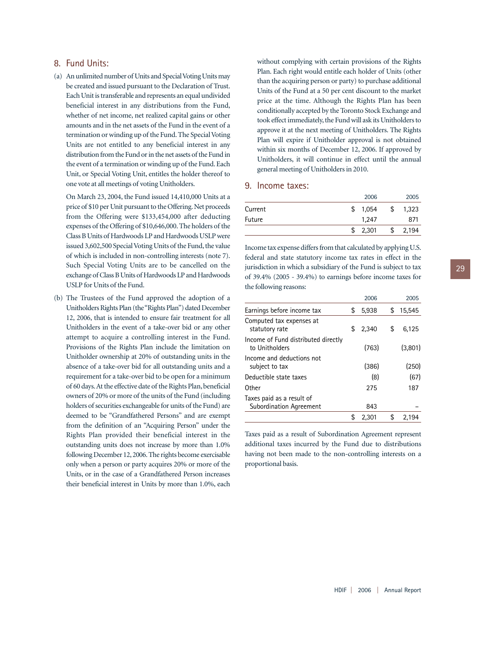## 8. Fund Units:

(a) An unlimited number of Units and Special Voting Units may be created and issued pursuant to the Declaration of Trust. Each Unit is transferable and represents an equal undivided beneficial interest in any distributions from the Fund, whether of net income, net realized capital gains or other amounts and in the net assets of the Fund in the event of a termination or winding up of the Fund. The Special Voting Units are not entitled to any beneficial interest in any distribution from the Fund or in the net assets of the Fund in the event of a termination or winding up of the Fund. Each Unit, or Special Voting Unit, entitles the holder thereof to one vote at all meetings of voting Unitholders.

On March 23, 2004, the Fund issued 14,410,000 Units at a price of \$10 per Unit pursuant to the Offering. Net proceeds from the Offering were \$133,454,000 after deducting expenses of the Offering of \$10,646,000. The holders of the Class B Units of Hardwoods LP and Hardwoods USLP were issued 3,602,500 Special Voting Units of the Fund, the value of which is included in non-controlling interests (note 7). Such Special Voting Units are to be cancelled on the exchange of Class B Units of Hardwoods LP and Hardwoods USLP for Units of the Fund.

(b) The Trustees of the Fund approved the adoption of a Unitholders Rights Plan (the "Rights Plan") dated December 12, 2006, that is intended to ensure fair treatment for all Unitholders in the event of a take-over bid or any other attempt to acquire a controlling interest in the Fund. Provisions of the Rights Plan include the limitation on Unitholder ownership at 20% of outstanding units in the absence of a take-over bid for all outstanding units and a requirement for a take-over bid to be open for a minimum of 60 days.At the effective date of the Rights Plan, beneficial owners of 20% or more of the units of the Fund (including holders of securities exchangeable for units of the Fund) are deemed to be "Grandfathered Persons" and are exempt from the definition of an "Acquiring Person" under the Rights Plan provided their beneficial interest in the outstanding units does not increase by more than 1.0% following December 12,2006.The rights become exercisable only when a person or party acquires 20% or more of the Units, or in the case of a Grandfathered Person increases their beneficial interest in Units by more than 1.0%, each

without complying with certain provisions of the Rights Plan. Each right would entitle each holder of Units (other than the acquiring person or party) to purchase additional Units of the Fund at a 50 per cent discount to the market price at the time. Although the Rights Plan has been conditionally accepted by the Toronto Stock Exchange and took effect immediately, the Fund will ask its Unitholders to approve it at the next meeting of Unitholders. The Rights Plan will expire if Unitholder approval is not obtained within six months of December 12, 2006. If approved by Unitholders, it will continue in effect until the annual general meeting of Unitholders in 2010.

#### 9. Income taxes:

|         | 2006        |   | 2005  |
|---------|-------------|---|-------|
| Current | \$<br>1,054 | S | 1,323 |
| Future  | 1.247       |   | 871   |
|         | 2,301       | S | 2,194 |

Income tax expense differs from that calculated by applying U.S. federal and state statutory income tax rates in effect in the jurisdiction in which a subsidiary of the Fund is subject to tax of 39.4% (2005 - 39.4%) to earnings before income taxes for the following reasons:

|                                                             | 2006        | 2005         |
|-------------------------------------------------------------|-------------|--------------|
| Earnings before income tax                                  | \$<br>5,938 | \$<br>15,545 |
| Computed tax expenses at<br>statutory rate                  | \$<br>2.340 | \$<br>6,125  |
| Income of Fund distributed directly<br>to Unitholders       | (763)       | (3,801)      |
| Income and deductions not<br>subject to tax                 | (386)       | (250)        |
| Deductible state taxes                                      | (8)         | (67)         |
| Other                                                       | 275         | 187          |
| Taxes paid as a result of<br><b>Subordination Agreement</b> | 843         |              |
|                                                             | \$<br>2,301 | \$<br>2.194  |
|                                                             |             |              |

Taxes paid as a result of Subordination Agreement represent additional taxes incurred by the Fund due to distributions having not been made to the non-controlling interests on a proportional basis.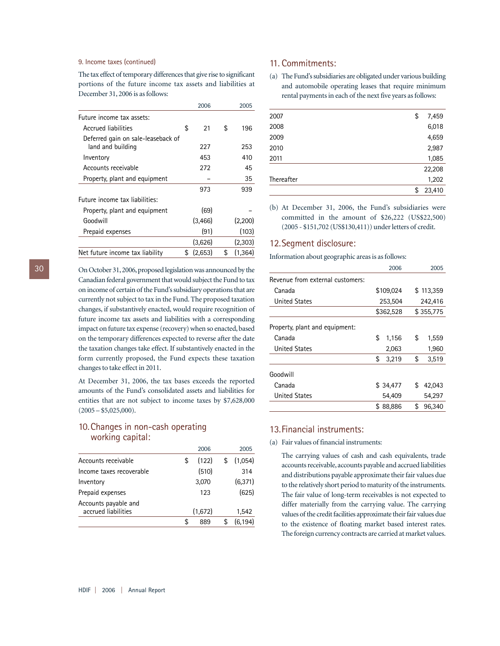#### 9. Income taxes (continued)

The tax effect of temporary differences that give rise to significant portions of the future income tax assets and liabilities at December 31, 2006 is as follows:

| 2006          | 2005          |
|---------------|---------------|
|               |               |
| \$<br>21      | \$<br>196     |
| 227           | 253           |
| 453           | 410           |
| 272           | 45            |
|               | 35            |
| 973           | 939           |
|               |               |
| (69)          |               |
| (3.466)       | (2,200)       |
| (91)          | (103)         |
| (3,626)       | (2,303)       |
| \$<br>(2,653) | \$<br>(1,364) |
|               |               |

On October 31, 2006, proposed legislation was announced by the Canadian federal government that would subject the Fund to tax on income of certain of the Fund's subsidiary operations that are currently not subject to tax in the Fund. The proposed taxation changes, if substantively enacted, would require recognition of future income tax assets and liabilities with a corresponding impact on future tax expense (recovery) when so enacted, based on the temporary differences expected to reverse after the date the taxation changes take effect. If substantively enacted in the form currently proposed, the Fund expects these taxation changes to take effect in 2011.

At December 31, 2006, the tax bases exceeds the reported amounts of the Fund's consolidated assets and liabilities for entities that are not subject to income taxes by \$7,628,000  $(2005 - $5,025,000)$ .

## 10.Changes in non-cash operating working capital:

|                                             | 2006        | 2005          |
|---------------------------------------------|-------------|---------------|
| Accounts receivable                         | \$<br>(122) | \$<br>(1,054) |
| Income taxes recoverable                    | (510)       | 314           |
| Inventory                                   | 3,070       | (6, 371)      |
| Prepaid expenses                            | 123         | (625)         |
| Accounts payable and<br>accrued liabilities | (1,672)     | 1.542         |
|                                             | \$<br>889   | (6.194)       |

## 11. Commitments:

(a) The Fund's subsidiaries are obligated under various building and automobile operating leases that require minimum rental payments in each of the next five years as follows:

| 2007       | \$<br>7,459  |
|------------|--------------|
| 2008       | 6,018        |
| 2009       | 4,659        |
| 2010       | 2,987        |
| 2011       | 1,085        |
|            | 22,208       |
| Thereafter | 1,202        |
|            | 23,410<br>\$ |
|            |              |

(b) At December 31, 2006, the Fund's subsidiaries were committed in the amount of \$26,222 (US\$22,500) (2005 - \$151,702 (US\$130,411)) under letters of credit.

#### 12.Segment disclosure:

Information about geographic areas is as follows:

|                                  |    | 2006      | 2005         |  |
|----------------------------------|----|-----------|--------------|--|
| Revenue from external customers: |    |           |              |  |
| Canada                           |    | \$109.024 | \$113.359    |  |
| <b>United States</b>             |    | 253,504   | 242,416      |  |
|                                  |    | \$362,528 | \$355,775    |  |
| Property, plant and equipment:   |    |           |              |  |
| Canada                           | \$ | 1,156     | \$<br>1,559  |  |
| <b>United States</b>             |    | 2.063     | 1,960        |  |
|                                  | \$ | 3,219     | \$<br>3,519  |  |
| Goodwill                         |    |           |              |  |
| Canada                           |    | \$34,477  | \$<br>42,043 |  |
| <b>United States</b>             |    | 54.409    | 54.297       |  |
|                                  | S. | 88,886    | \$<br>96.340 |  |

#### 13.Financial instruments:

#### (a) Fair values of financial instruments:

The carrying values of cash and cash equivalents, trade accounts receivable, accounts payable and accrued liabilities and distributions payable approximate their fair values due to the relatively short period to maturity of the instruments. The fair value of long-term receivables is not expected to differ materially from the carrying value. The carrying values of the credit facilities approximate their fair values due to the existence of floating market based interest rates. The foreign currency contracts are carried at market values.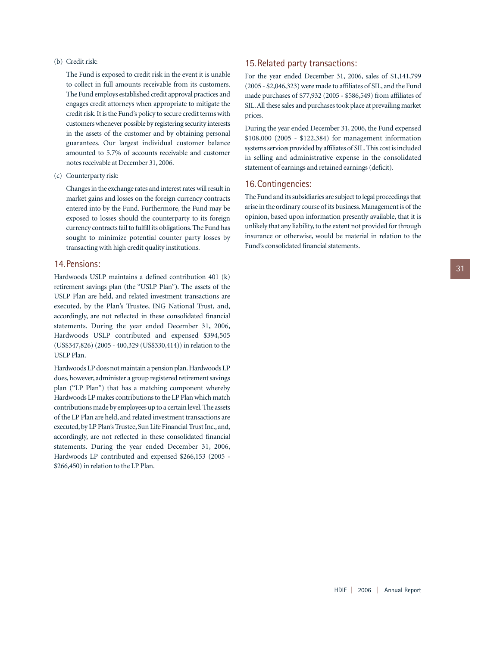#### (b) Credit risk:

The Fund is exposed to credit risk in the event it is unable to collect in full amounts receivable from its customers. The Fund employs established credit approval practices and engages credit attorneys when appropriate to mitigate the credit risk. It is the Fund's policy to secure credit terms with customers whenever possible by registering security interests in the assets of the customer and by obtaining personal guarantees. Our largest individual customer balance amounted to 5.7% of accounts receivable and customer notes receivable at December 31, 2006.

(c) Counterparty risk:

Changes in the exchange rates and interest rates will result in market gains and losses on the foreign currency contracts entered into by the Fund. Furthermore, the Fund may be exposed to losses should the counterparty to its foreign currency contracts fail to fulfill its obligations. The Fund has sought to minimize potential counter party losses by transacting with high credit quality institutions.

## 14.Pensions:

Hardwoods USLP maintains a defined contribution 401 (k) retirement savings plan (the "USLP Plan"). The assets of the USLP Plan are held, and related investment transactions are executed, by the Plan's Trustee, ING National Trust, and, accordingly, are not reflected in these consolidated financial statements. During the year ended December 31, 2006, Hardwoods USLP contributed and expensed \$394,505 (US\$347,826) (2005 - 400,329 (US\$330,414)) in relation to the USLP Plan.

Hardwoods LP does not maintain a pension plan. Hardwoods LP does, however, administer a group registered retirement savings plan ("LP Plan") that has a matching component whereby Hardwoods LP makes contributions to the LP Plan which match contributions made by employees up to a certain level.The assets of the LP Plan are held, and related investment transactions are executed, by LP Plan's Trustee, Sun Life Financial Trust Inc., and, accordingly, are not reflected in these consolidated financial statements. During the year ended December 31, 2006, Hardwoods LP contributed and expensed \$266,153 (2005 - \$266,450) in relation to the LP Plan.

### 15.Related party transactions:

For the year ended December 31, 2006, sales of \$1,141,799 (2005 - \$2,046,323) were made to affiliates of SIL, and the Fund made purchases of \$77,932 (2005 - \$586,549) from affiliates of SIL.All these sales and purchases took place at prevailing market prices.

During the year ended December 31, 2006, the Fund expensed \$108,000 (2005 - \$122,384) for management information systems services provided by affiliates of SIL.This cost is included in selling and administrative expense in the consolidated statement of earnings and retained earnings (deficit).

#### 16.Contingencies:

The Fund and its subsidiaries are subject to legal proceedings that arise in the ordinary course of its business. Management is of the opinion, based upon information presently available, that it is unlikely that any liability, to the extent not provided for through insurance or otherwise, would be material in relation to the Fund's consolidated financial statements.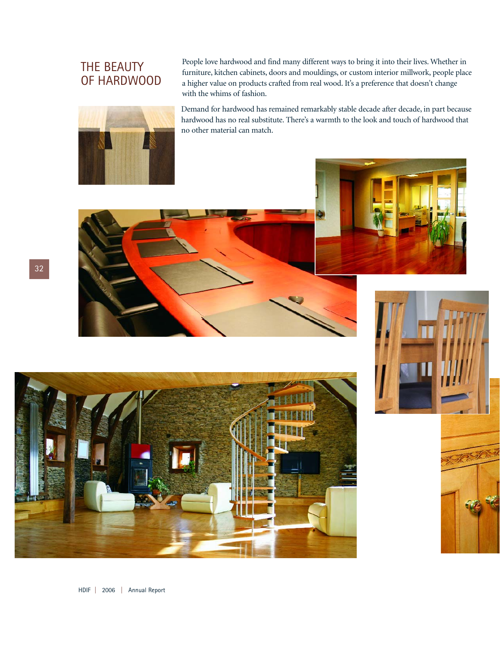## THE BEAUTY OF HARDWOOD



People love hardwood and find many different ways to bring it into their lives. Whether in furniture, kitchen cabinets, doors and mouldings, or custom interior millwork, people place a higher value on products crafted from real wood. It's a preference that doesn't change with the whims of fashion.

Demand for hardwood has remained remarkably stable decade after decade, in part because hardwood has no real substitute. There's a warmth to the look and touch of hardwood that no other material can match.

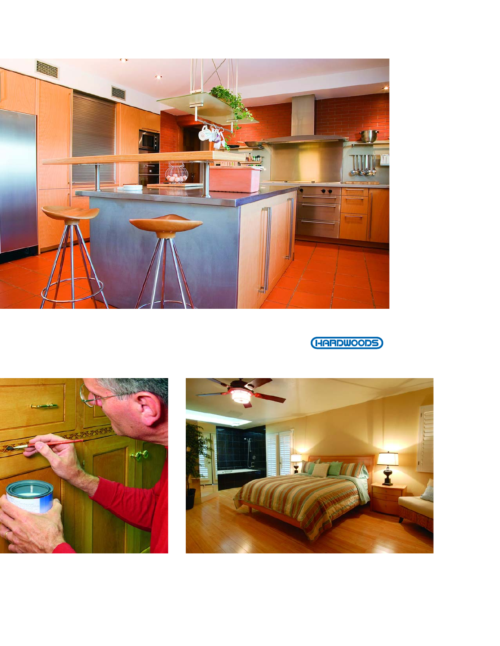